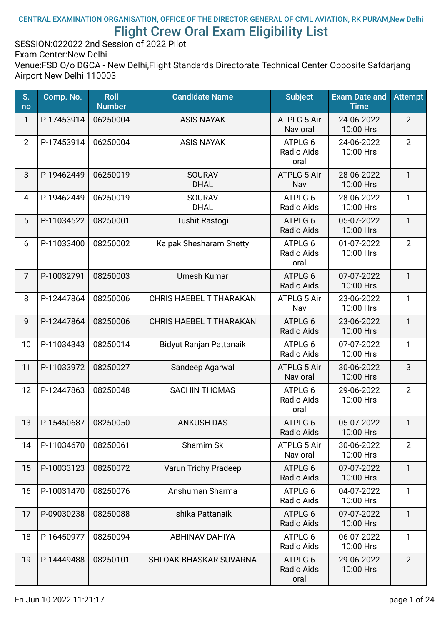#### CENTRAL EXAMINATION ORGANISATION, OFFICE OF THE DIRECTOR GENERAL OF CIVIL AVIATION, RK PURAM,New Delhi Flight Crew Oral Exam Eligibility List

SESSION:022022 2nd Session of 2022 Pilot

Exam Center:New Delhi

| S.<br>no       | Comp. No.  | <b>Roll</b><br><b>Number</b> | <b>Candidate Name</b>          | <b>Subject</b>                 | <b>Exam Date and</b><br><b>Time</b> | <b>Attempt</b> |
|----------------|------------|------------------------------|--------------------------------|--------------------------------|-------------------------------------|----------------|
| 1              | P-17453914 | 06250004                     | <b>ASIS NAYAK</b>              | ATPLG 5 Air<br>Nav oral        | 24-06-2022<br>10:00 Hrs             | $\overline{2}$ |
| $\overline{2}$ | P-17453914 | 06250004                     | <b>ASIS NAYAK</b>              | ATPLG 6<br>Radio Aids<br>oral  | 24-06-2022<br>10:00 Hrs             | $\overline{2}$ |
| 3              | P-19462449 | 06250019                     | <b>SOURAV</b><br><b>DHAL</b>   | ATPLG 5 Air<br>Nav             | 28-06-2022<br>10:00 Hrs             | $\mathbf{1}$   |
| 4              | P-19462449 | 06250019                     | <b>SOURAV</b><br><b>DHAL</b>   | ATPLG 6<br>Radio Aids          | 28-06-2022<br>10:00 Hrs             | $\mathbf{1}$   |
| 5              | P-11034522 | 08250001                     | <b>Tushit Rastogi</b>          | ATPLG 6<br>Radio Aids          | 05-07-2022<br>10:00 Hrs             | $\mathbf{1}$   |
| 6              | P-11033400 | 08250002                     | Kalpak Shesharam Shetty        | ATPLG 6<br>Radio Aids<br>oral  | 01-07-2022<br>10:00 Hrs             | $\overline{2}$ |
| $\overline{7}$ | P-10032791 | 08250003                     | Umesh Kumar                    | ATPLG 6<br>Radio Aids          | 07-07-2022<br>10:00 Hrs             | $\mathbf{1}$   |
| 8              | P-12447864 | 08250006                     | <b>CHRIS HAEBEL T THARAKAN</b> | <b>ATPLG 5 Air</b><br>Nav      | 23-06-2022<br>10:00 Hrs             | $\mathbf{1}$   |
| 9              | P-12447864 | 08250006                     | <b>CHRIS HAEBEL T THARAKAN</b> | ATPLG 6<br>Radio Aids          | 23-06-2022<br>10:00 Hrs             | $\mathbf{1}$   |
| 10             | P-11034343 | 08250014                     | Bidyut Ranjan Pattanaik        | ATPLG 6<br>Radio Aids          | 07-07-2022<br>10:00 Hrs             | 1              |
| 11             | P-11033972 | 08250027                     | Sandeep Agarwal                | <b>ATPLG 5 Air</b><br>Nav oral | 30-06-2022<br>10:00 Hrs             | 3              |
| 12             | P-12447863 | 08250048                     | <b>SACHIN THOMAS</b>           | ATPLG 6<br>Radio Aids<br>oral  | 29-06-2022<br>10:00 Hrs             | $\overline{2}$ |
| 13             | P-15450687 | 08250050                     | <b>ANKUSH DAS</b>              | ATPLG 6<br>Radio Aids          | 05-07-2022<br>10:00 Hrs             | $\mathbf{1}$   |
| 14             | P-11034670 | 08250061                     | Shamim Sk                      | ATPLG 5 Air<br>Nav oral        | 30-06-2022<br>10:00 Hrs             | $\overline{2}$ |
| 15             | P-10033123 | 08250072                     | Varun Trichy Pradeep           | ATPLG 6<br>Radio Aids          | 07-07-2022<br>10:00 Hrs             | $\mathbf{1}$   |
| 16             | P-10031470 | 08250076                     | Anshuman Sharma                | ATPLG 6<br>Radio Aids          | 04-07-2022<br>10:00 Hrs             | 1              |
| 17             | P-09030238 | 08250088                     | Ishika Pattanaik               | ATPLG 6<br>Radio Aids          | 07-07-2022<br>10:00 Hrs             | 1              |
| 18             | P-16450977 | 08250094                     | <b>ABHINAV DAHIYA</b>          | ATPLG 6<br>Radio Aids          | 06-07-2022<br>10:00 Hrs             | $\mathbf{1}$   |
| 19             | P-14449488 | 08250101                     | SHLOAK BHASKAR SUVARNA         | ATPLG 6<br>Radio Aids<br>oral  | 29-06-2022<br>10:00 Hrs             | $\overline{2}$ |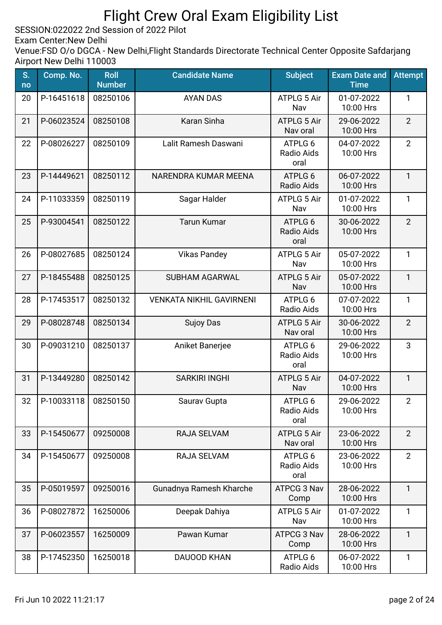SESSION:022022 2nd Session of 2022 Pilot

Exam Center:New Delhi

| S.<br>no | Comp. No.    | <b>Roll</b><br><b>Number</b> | <b>Candidate Name</b>           | <b>Subject</b>                 | <b>Exam Date and</b><br><b>Time</b> | <b>Attempt</b> |
|----------|--------------|------------------------------|---------------------------------|--------------------------------|-------------------------------------|----------------|
| 20       | P-16451618   | 08250106                     | <b>AYAN DAS</b>                 | <b>ATPLG 5 Air</b><br>Nav      | 01-07-2022<br>10:00 Hrs             | 1              |
| 21       | P-06023524   | 08250108                     | Karan Sinha                     | <b>ATPLG 5 Air</b><br>Nav oral | 29-06-2022<br>10:00 Hrs             | $\overline{2}$ |
| 22       | P-08026227   | 08250109                     | Lalit Ramesh Daswani            | ATPLG 6<br>Radio Aids<br>oral  | 04-07-2022<br>10:00 Hrs             | $\overline{2}$ |
| 23       | P-14449621   | 08250112                     | NARENDRA KUMAR MEENA            | ATPLG 6<br>Radio Aids          | 06-07-2022<br>10:00 Hrs             | $\mathbf{1}$   |
| 24       | P-11033359   | 08250119                     | Sagar Halder                    | ATPLG 5 Air<br>Nav             | 01-07-2022<br>10:00 Hrs             | $\mathbf{1}$   |
| 25       | P-93004541   | 08250122                     | <b>Tarun Kumar</b>              | ATPLG 6<br>Radio Aids<br>oral  | 30-06-2022<br>10:00 Hrs             | $\overline{2}$ |
| 26       | P-08027685   | 08250124                     | <b>Vikas Pandey</b>             | <b>ATPLG 5 Air</b><br>Nav      | 05-07-2022<br>10:00 Hrs             | 1              |
| 27       | P-18455488   | 08250125                     | <b>SUBHAM AGARWAL</b>           | ATPLG 5 Air<br>Nav             | 05-07-2022<br>10:00 Hrs             | $\mathbf{1}$   |
| 28       | P-17453517   | 08250132                     | <b>VENKATA NIKHIL GAVIRNENI</b> | ATPLG 6<br>Radio Aids          | 07-07-2022<br>10:00 Hrs             | $\mathbf{1}$   |
| 29       | P-08028748   | 08250134                     | <b>Sujoy Das</b>                | <b>ATPLG 5 Air</b><br>Nav oral | 30-06-2022<br>10:00 Hrs             | $\overline{2}$ |
| 30       | P-09031210   | 08250137                     | Aniket Banerjee                 | ATPLG 6<br>Radio Aids<br>oral  | 29-06-2022<br>10:00 Hrs             | 3              |
| 31       | P-13449280   | 08250142                     | <b>SARKIRI INGHI</b>            | <b>ATPLG 5 Air</b><br>Nav      | 04-07-2022<br>10:00 Hrs             | $\mathbf{1}$   |
| 32       | $P-10033118$ | 08250150                     | Saurav Gupta                    | ATPLG 6<br>Radio Aids<br>oral  | 29-06-2022<br>10:00 Hrs             | $\overline{2}$ |
| 33       | P-15450677   | 09250008                     | RAJA SELVAM                     | <b>ATPLG 5 Air</b><br>Nav oral | 23-06-2022<br>10:00 Hrs             | $\overline{2}$ |
| 34       | P-15450677   | 09250008                     | RAJA SELVAM                     | ATPLG 6<br>Radio Aids<br>oral  | 23-06-2022<br>10:00 Hrs             | $\overline{2}$ |
| 35       | P-05019597   | 09250016                     | Gunadnya Ramesh Kharche         | <b>ATPCG 3 Nav</b><br>Comp     | 28-06-2022<br>10:00 Hrs             | $\mathbf{1}$   |
| 36       | P-08027872   | 16250006                     | Deepak Dahiya                   | <b>ATPLG 5 Air</b><br>Nav      | 01-07-2022<br>10:00 Hrs             | 1              |
| 37       | P-06023557   | 16250009                     | Pawan Kumar                     | ATPCG 3 Nav<br>Comp            | 28-06-2022<br>10:00 Hrs             | 1              |
| 38       | P-17452350   | 16250018                     | <b>DAUOOD KHAN</b>              | ATPLG 6<br>Radio Aids          | 06-07-2022<br>10:00 Hrs             | $\mathbf{1}$   |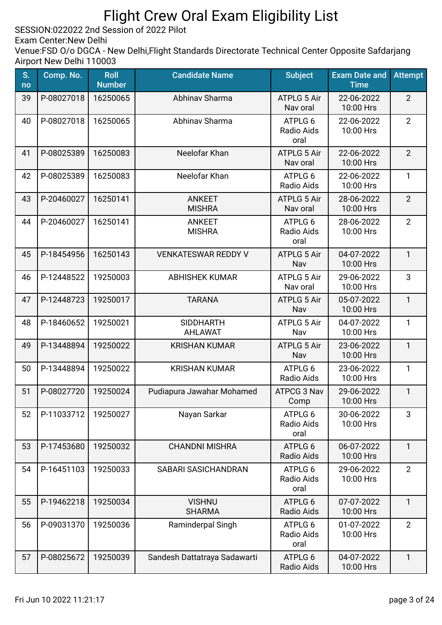SESSION:022022 2nd Session of 2022 Pilot

Exam Center:New Delhi

| S.<br>no | Comp. No.  | <b>Roll</b><br><b>Number</b> | <b>Candidate Name</b>              | <b>Subject</b>                 | <b>Exam Date and</b><br><b>Time</b> | <b>Attempt</b> |
|----------|------------|------------------------------|------------------------------------|--------------------------------|-------------------------------------|----------------|
| 39       | P-08027018 | 16250065                     | Abhinav Sharma                     | <b>ATPLG 5 Air</b><br>Nav oral | 22-06-2022<br>10:00 Hrs             | $\overline{2}$ |
| 40       | P-08027018 | 16250065                     | Abhinav Sharma                     | ATPLG 6<br>Radio Aids<br>oral  | 22-06-2022<br>10:00 Hrs             | $\overline{2}$ |
| 41       | P-08025389 | 16250083                     | Neelofar Khan                      | <b>ATPLG 5 Air</b><br>Nav oral | 22-06-2022<br>10:00 Hrs             | $\overline{2}$ |
| 42       | P-08025389 | 16250083                     | Neelofar Khan                      | ATPLG 6<br>Radio Aids          | 22-06-2022<br>10:00 Hrs             | $\mathbf{1}$   |
| 43       | P-20460027 | 16250141                     | <b>ANKEET</b><br><b>MISHRA</b>     | <b>ATPLG 5 Air</b><br>Nav oral | 28-06-2022<br>10:00 Hrs             | $\overline{2}$ |
| 44       | P-20460027 | 16250141                     | <b>ANKEET</b><br><b>MISHRA</b>     | ATPLG 6<br>Radio Aids<br>oral  | 28-06-2022<br>10:00 Hrs             | $\overline{2}$ |
| 45       | P-18454956 | 16250143                     | <b>VENKATESWAR REDDY V</b>         | <b>ATPLG 5 Air</b><br>Nav      | 04-07-2022<br>10:00 Hrs             | $\mathbf{1}$   |
| 46       | P-12448522 | 19250003                     | <b>ABHISHEK KUMAR</b>              | <b>ATPLG 5 Air</b><br>Nav oral | 29-06-2022<br>10:00 Hrs             | 3              |
| 47       | P-12448723 | 19250017                     | <b>TARANA</b>                      | <b>ATPLG 5 Air</b><br>Nav      | 05-07-2022<br>10:00 Hrs             | $\mathbf{1}$   |
| 48       | P-18460652 | 19250021                     | <b>SIDDHARTH</b><br><b>AHLAWAT</b> | <b>ATPLG 5 Air</b><br>Nav      | 04-07-2022<br>10:00 Hrs             | $\mathbf{1}$   |
| 49       | P-13448894 | 19250022                     | <b>KRISHAN KUMAR</b>               | <b>ATPLG 5 Air</b><br>Nav      | 23-06-2022<br>10:00 Hrs             | $\mathbf{1}$   |
| 50       | P-13448894 | 19250022                     | <b>KRISHAN KUMAR</b>               | ATPLG 6<br>Radio Aids          | 23-06-2022<br>10:00 Hrs             | $\mathbf{1}$   |
| 51       | P-08027720 | 19250024                     | Pudiapura Jawahar Mohamed          | <b>ATPCG 3 Nav</b><br>Comp     | 29-06-2022<br>10:00 Hrs             | $\mathbf{1}$   |
| 52       | P-11033712 | 19250027                     | Nayan Sarkar                       | ATPLG 6<br>Radio Aids<br>oral  | 30-06-2022<br>10:00 Hrs             | 3              |
| 53       | P-17453680 | 19250032                     | <b>CHANDNI MISHRA</b>              | ATPLG 6<br>Radio Aids          | 06-07-2022<br>10:00 Hrs             | $\mathbf{1}$   |
| 54       | P-16451103 | 19250033                     | <b>SABARI SASICHANDRAN</b>         | ATPLG 6<br>Radio Aids<br>oral  | 29-06-2022<br>10:00 Hrs             | $\overline{2}$ |
| 55       | P-19462218 | 19250034                     | <b>VISHNU</b><br><b>SHARMA</b>     | ATPLG 6<br>Radio Aids          | 07-07-2022<br>10:00 Hrs             | $\mathbf{1}$   |
| 56       | P-09031370 | 19250036                     | Raminderpal Singh                  | ATPLG 6<br>Radio Aids<br>oral  | 01-07-2022<br>10:00 Hrs             | $\overline{2}$ |
| 57       | P-08025672 | 19250039                     | Sandesh Dattatraya Sadawarti       | ATPLG 6<br>Radio Aids          | 04-07-2022<br>10:00 Hrs             | $\mathbf{1}$   |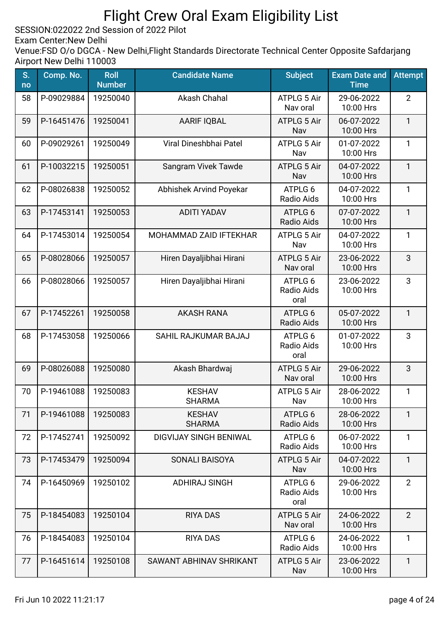SESSION:022022 2nd Session of 2022 Pilot

Exam Center:New Delhi

| S.<br>no | Comp. No.  | <b>Roll</b><br><b>Number</b> | <b>Candidate Name</b>          | <b>Subject</b>                 | <b>Exam Date and</b><br><b>Time</b> | <b>Attempt</b> |
|----------|------------|------------------------------|--------------------------------|--------------------------------|-------------------------------------|----------------|
| 58       | P-09029884 | 19250040                     | Akash Chahal                   | <b>ATPLG 5 Air</b><br>Nav oral | 29-06-2022<br>10:00 Hrs             | $\overline{2}$ |
| 59       | P-16451476 | 19250041                     | <b>AARIF IQBAL</b>             | <b>ATPLG 5 Air</b><br>Nav      | 06-07-2022<br>10:00 Hrs             | $\mathbf{1}$   |
| 60       | P-09029261 | 19250049                     | Viral Dineshbhai Patel         | <b>ATPLG 5 Air</b><br>Nav      | 01-07-2022<br>10:00 Hrs             | $\mathbf{1}$   |
| 61       | P-10032215 | 19250051                     | Sangram Vivek Tawde            | <b>ATPLG 5 Air</b><br>Nav      | 04-07-2022<br>10:00 Hrs             | $\mathbf{1}$   |
| 62       | P-08026838 | 19250052                     | Abhishek Arvind Poyekar        | ATPLG 6<br>Radio Aids          | 04-07-2022<br>10:00 Hrs             | $\mathbf{1}$   |
| 63       | P-17453141 | 19250053                     | <b>ADITI YADAV</b>             | ATPLG 6<br>Radio Aids          | 07-07-2022<br>10:00 Hrs             | $\mathbf{1}$   |
| 64       | P-17453014 | 19250054                     | <b>MOHAMMAD ZAID IFTEKHAR</b>  | <b>ATPLG 5 Air</b><br>Nav      | 04-07-2022<br>10:00 Hrs             | $\mathbf{1}$   |
| 65       | P-08028066 | 19250057                     | Hiren Dayaljibhai Hirani       | <b>ATPLG 5 Air</b><br>Nav oral | 23-06-2022<br>10:00 Hrs             | 3              |
| 66       | P-08028066 | 19250057                     | Hiren Dayaljibhai Hirani       | ATPLG 6<br>Radio Aids<br>oral  | 23-06-2022<br>10:00 Hrs             | 3              |
| 67       | P-17452261 | 19250058                     | <b>AKASH RANA</b>              | ATPLG 6<br>Radio Aids          | 05-07-2022<br>10:00 Hrs             | $\mathbf{1}$   |
| 68       | P-17453058 | 19250066                     | SAHIL RAJKUMAR BAJAJ           | ATPLG 6<br>Radio Aids<br>oral  | 01-07-2022<br>10:00 Hrs             | 3              |
| 69       | P-08026088 | 19250080                     | Akash Bhardwaj                 | <b>ATPLG 5 Air</b><br>Nav oral | 29-06-2022<br>10:00 Hrs             | 3              |
| 70       | P-19461088 | 19250083                     | <b>KESHAV</b><br><b>SHARMA</b> | <b>ATPLG 5 Air</b><br>Nav      | 28-06-2022<br>10:00 Hrs             | $\mathbf{1}$   |
| 71       | P-19461088 | 19250083                     | <b>KESHAV</b><br><b>SHARMA</b> | ATPLG 6<br>Radio Aids          | 28-06-2022<br>10:00 Hrs             | $\mathbf{1}$   |
| 72       | P-17452741 | 19250092                     | <b>DIGVIJAY SINGH BENIWAL</b>  | ATPLG 6<br>Radio Aids          | 06-07-2022<br>10:00 Hrs             | 1              |
| 73       | P-17453479 | 19250094                     | SONALI BAISOYA                 | <b>ATPLG 5 Air</b><br>Nav      | 04-07-2022<br>10:00 Hrs             | $\mathbf{1}$   |
| 74       | P-16450969 | 19250102                     | <b>ADHIRAJ SINGH</b>           | ATPLG 6<br>Radio Aids<br>oral  | 29-06-2022<br>10:00 Hrs             | $\overline{2}$ |
| 75       | P-18454083 | 19250104                     | <b>RIYA DAS</b>                | <b>ATPLG 5 Air</b><br>Nav oral | 24-06-2022<br>10:00 Hrs             | $\overline{2}$ |
| 76       | P-18454083 | 19250104                     | <b>RIYA DAS</b>                | ATPLG 6<br>Radio Aids          | 24-06-2022<br>10:00 Hrs             | 1              |
| 77       | P-16451614 | 19250108                     | SAWANT ABHINAV SHRIKANT        | <b>ATPLG 5 Air</b><br>Nav      | 23-06-2022<br>10:00 Hrs             | $\mathbf{1}$   |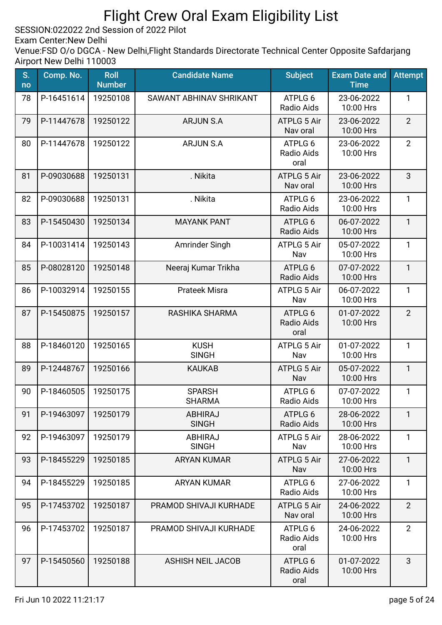SESSION:022022 2nd Session of 2022 Pilot

Exam Center:New Delhi

| S.<br>no | Comp. No.  | <b>Roll</b><br><b>Number</b> | <b>Candidate Name</b>          | <b>Subject</b>                 | <b>Exam Date and</b><br><b>Time</b> | <b>Attempt</b> |
|----------|------------|------------------------------|--------------------------------|--------------------------------|-------------------------------------|----------------|
| 78       | P-16451614 | 19250108                     | SAWANT ABHINAV SHRIKANT        | ATPLG 6<br>Radio Aids          | 23-06-2022<br>10:00 Hrs             | 1              |
| 79       | P-11447678 | 19250122                     | <b>ARJUN S.A</b>               | <b>ATPLG 5 Air</b><br>Nav oral | 23-06-2022<br>10:00 Hrs             | $\overline{2}$ |
| 80       | P-11447678 | 19250122                     | <b>ARJUN S.A</b>               | ATPLG 6<br>Radio Aids<br>oral  | 23-06-2022<br>10:00 Hrs             | $\overline{2}$ |
| 81       | P-09030688 | 19250131                     | . Nikita                       | <b>ATPLG 5 Air</b><br>Nav oral | 23-06-2022<br>10:00 Hrs             | 3              |
| 82       | P-09030688 | 19250131                     | . Nikita                       | ATPLG 6<br>Radio Aids          | 23-06-2022<br>10:00 Hrs             | $\mathbf{1}$   |
| 83       | P-15450430 | 19250134                     | <b>MAYANK PANT</b>             | ATPLG 6<br><b>Radio Aids</b>   | 06-07-2022<br>10:00 Hrs             | $\mathbf{1}$   |
| 84       | P-10031414 | 19250143                     | Amrinder Singh                 | <b>ATPLG 5 Air</b><br>Nav      | 05-07-2022<br>10:00 Hrs             | 1              |
| 85       | P-08028120 | 19250148                     | Neeraj Kumar Trikha            | ATPLG 6<br>Radio Aids          | 07-07-2022<br>10:00 Hrs             | $\mathbf{1}$   |
| 86       | P-10032914 | 19250155                     | <b>Prateek Misra</b>           | <b>ATPLG 5 Air</b><br>Nav      | 06-07-2022<br>10:00 Hrs             | $\mathbf{1}$   |
| 87       | P-15450875 | 19250157                     | RASHIKA SHARMA                 | ATPLG 6<br>Radio Aids<br>oral  | 01-07-2022<br>10:00 Hrs             | $\overline{2}$ |
| 88       | P-18460120 | 19250165                     | <b>KUSH</b><br><b>SINGH</b>    | <b>ATPLG 5 Air</b><br>Nav      | 01-07-2022<br>10:00 Hrs             | $\mathbf{1}$   |
| 89       | P-12448767 | 19250166                     | <b>KAUKAB</b>                  | ATPLG 5 Air<br>Nav             | 05-07-2022<br>10:00 Hrs             | $\mathbf{1}$   |
| 90       | P-18460505 | 19250175                     | <b>SPARSH</b><br><b>SHARMA</b> | ATPLG 6<br>Radio Aids          | 07-07-2022<br>10:00 Hrs             | 1              |
| 91       | P-19463097 | 19250179                     | <b>ABHIRAJ</b><br><b>SINGH</b> | ATPLG 6<br><b>Radio Aids</b>   | 28-06-2022<br>10:00 Hrs             | $\mathbf{1}$   |
| 92       | P-19463097 | 19250179                     | <b>ABHIRAJ</b><br><b>SINGH</b> | <b>ATPLG 5 Air</b><br>Nav      | 28-06-2022<br>10:00 Hrs             | $\mathbf{1}$   |
| 93       | P-18455229 | 19250185                     | <b>ARYAN KUMAR</b>             | <b>ATPLG 5 Air</b><br>Nav      | 27-06-2022<br>10:00 Hrs             | $\mathbf{1}$   |
| 94       | P-18455229 | 19250185                     | <b>ARYAN KUMAR</b>             | ATPLG 6<br>Radio Aids          | 27-06-2022<br>10:00 Hrs             | $\mathbf{1}$   |
| 95       | P-17453702 | 19250187                     | PRAMOD SHIVAJI KURHADE         | <b>ATPLG 5 Air</b><br>Nav oral | 24-06-2022<br>10:00 Hrs             | $\overline{2}$ |
| 96       | P-17453702 | 19250187                     | PRAMOD SHIVAJI KURHADE         | ATPLG 6<br>Radio Aids<br>oral  | 24-06-2022<br>10:00 Hrs             | $\overline{2}$ |
| 97       | P-15450560 | 19250188                     | <b>ASHISH NEIL JACOB</b>       | ATPLG 6<br>Radio Aids<br>oral  | 01-07-2022<br>10:00 Hrs             | 3              |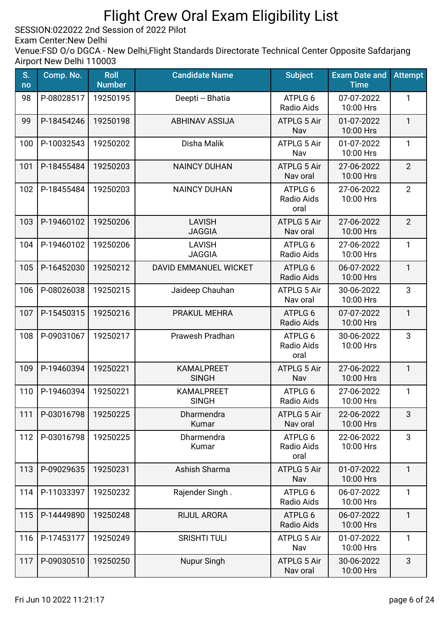SESSION:022022 2nd Session of 2022 Pilot

Exam Center:New Delhi

| S.<br>no | Comp. No.  | <b>Roll</b><br><b>Number</b> | <b>Candidate Name</b>             | <b>Subject</b>                 | <b>Exam Date and</b><br><b>Time</b> | <b>Attempt</b> |
|----------|------------|------------------------------|-----------------------------------|--------------------------------|-------------------------------------|----------------|
| 98       | P-08028517 | 19250195                     | Deepti -- Bhatia                  | ATPLG 6<br>Radio Aids          | 07-07-2022<br>10:00 Hrs             | 1              |
| 99       | P-18454246 | 19250198                     | <b>ABHINAV ASSIJA</b>             | <b>ATPLG 5 Air</b><br>Nav      | 01-07-2022<br>10:00 Hrs             | $\mathbf{1}$   |
| 100      | P-10032543 | 19250202                     | Disha Malik                       | ATPLG 5 Air<br>Nav             | 01-07-2022<br>10:00 Hrs             | $\mathbf{1}$   |
| 101      | P-18455484 | 19250203                     | <b>NAINCY DUHAN</b>               | <b>ATPLG 5 Air</b><br>Nav oral | 27-06-2022<br>10:00 Hrs             | $\overline{2}$ |
| 102      | P-18455484 | 19250203                     | <b>NAINCY DUHAN</b>               | ATPLG 6<br>Radio Aids<br>oral  | 27-06-2022<br>10:00 Hrs             | $\overline{2}$ |
| 103      | P-19460102 | 19250206                     | <b>LAVISH</b><br><b>JAGGIA</b>    | <b>ATPLG 5 Air</b><br>Nav oral | 27-06-2022<br>10:00 Hrs             | $\overline{2}$ |
| 104      | P-19460102 | 19250206                     | <b>LAVISH</b><br><b>JAGGIA</b>    | ATPLG 6<br>Radio Aids          | 27-06-2022<br>10:00 Hrs             | $\mathbf{1}$   |
| 105      | P-16452030 | 19250212                     | DAVID EMMANUEL WICKET             | ATPLG 6<br>Radio Aids          | 06-07-2022<br>10:00 Hrs             | $\mathbf{1}$   |
| 106      | P-08026038 | 19250215                     | Jaideep Chauhan                   | <b>ATPLG 5 Air</b><br>Nav oral | 30-06-2022<br>10:00 Hrs             | 3              |
| 107      | P-15450315 | 19250216                     | PRAKUL MEHRA                      | ATPLG 6<br>Radio Aids          | 07-07-2022<br>10:00 Hrs             | $\mathbf{1}$   |
| 108      | P-09031067 | 19250217                     | Prawesh Pradhan                   | ATPLG 6<br>Radio Aids<br>oral  | 30-06-2022<br>10:00 Hrs             | 3              |
| 109      | P-19460394 | 19250221                     | <b>KAMALPREET</b><br><b>SINGH</b> | ATPLG 5 Air<br>Nav             | 27-06-2022<br>10:00 Hrs             | $\mathbf{1}$   |
| 110      | P-19460394 | 19250221                     | <b>KAMALPREET</b><br><b>SINGH</b> | ATPLG 6<br>Radio Aids          | 27-06-2022<br>10:00 Hrs             | 1              |
| 111      | P-03016798 | 19250225                     | Dharmendra<br>Kumar               | <b>ATPLG 5 Air</b><br>Nav oral | 22-06-2022<br>10:00 Hrs             | 3              |
| 112      | P-03016798 | 19250225                     | Dharmendra<br>Kumar               | ATPLG 6<br>Radio Aids<br>oral  | 22-06-2022<br>10:00 Hrs             | 3              |
| 113      | P-09029635 | 19250231                     | Ashish Sharma                     | <b>ATPLG 5 Air</b><br>Nav      | 01-07-2022<br>10:00 Hrs             | $\mathbf{1}$   |
| 114      | P-11033397 | 19250232                     | Rajender Singh.                   | ATPLG 6<br>Radio Aids          | 06-07-2022<br>10:00 Hrs             | 1              |
| 115      | P-14449890 | 19250248                     | RIJUL ARORA                       | ATPLG 6<br>Radio Aids          | 06-07-2022<br>10:00 Hrs             | $\mathbf{1}$   |
| 116      | P-17453177 | 19250249                     | <b>SRISHTI TULI</b>               | <b>ATPLG 5 Air</b><br>Nav      | 01-07-2022<br>10:00 Hrs             | 1              |
| 117      | P-09030510 | 19250250                     | Nupur Singh                       | <b>ATPLG 5 Air</b><br>Nav oral | 30-06-2022<br>10:00 Hrs             | 3              |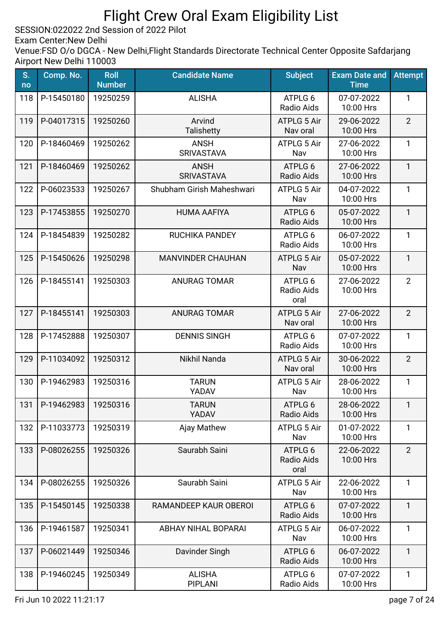SESSION:022022 2nd Session of 2022 Pilot

Exam Center:New Delhi

| S.<br>no | Comp. No.                   | <b>Roll</b><br><b>Number</b> | <b>Candidate Name</b>            | <b>Subject</b>                 | <b>Exam Date and</b><br><b>Time</b> | <b>Attempt</b> |
|----------|-----------------------------|------------------------------|----------------------------------|--------------------------------|-------------------------------------|----------------|
| 118      | P-15450180                  | 19250259                     | <b>ALISHA</b>                    | ATPLG 6<br>Radio Aids          | 07-07-2022<br>10:00 Hrs             | 1              |
| 119      | P-04017315                  | 19250260                     | Arvind<br><b>Talishetty</b>      | <b>ATPLG 5 Air</b><br>Nav oral | 29-06-2022<br>10:00 Hrs             | $\overline{2}$ |
| 120      | P-18460469                  | 19250262                     | <b>ANSH</b><br><b>SRIVASTAVA</b> | <b>ATPLG 5 Air</b><br>Nav      | 27-06-2022<br>10:00 Hrs             | $\mathbf{1}$   |
| 121      | P-18460469                  | 19250262                     | <b>ANSH</b><br><b>SRIVASTAVA</b> | ATPLG 6<br>Radio Aids          | 27-06-2022<br>10:00 Hrs             | $\mathbf{1}$   |
| 122      | P-06023533                  | 19250267                     | Shubham Girish Maheshwari        | ATPLG 5 Air<br>Nav             | 04-07-2022<br>10:00 Hrs             | $\mathbf{1}$   |
| 123      | P-17453855                  | 19250270                     | <b>HUMA AAFIYA</b>               | ATPLG 6<br><b>Radio Aids</b>   | 05-07-2022<br>10:00 Hrs             | $\mathbf{1}$   |
| 124      | P-18454839                  | 19250282                     | RUCHIKA PANDEY                   | ATPLG 6<br>Radio Aids          | 06-07-2022<br>10:00 Hrs             | $\mathbf{1}$   |
| 125      | P-15450626                  | 19250298                     | <b>MANVINDER CHAUHAN</b>         | <b>ATPLG 5 Air</b><br>Nav      | 05-07-2022<br>10:00 Hrs             | $\mathbf{1}$   |
| 126      | P-18455141                  | 19250303                     | <b>ANURAG TOMAR</b>              | ATPLG 6<br>Radio Aids<br>oral  | 27-06-2022<br>10:00 Hrs             | $\overline{2}$ |
| 127      | P-18455141                  | 19250303                     | <b>ANURAG TOMAR</b>              | <b>ATPLG 5 Air</b><br>Nav oral | 27-06-2022<br>10:00 Hrs             | $\overline{2}$ |
| 128      | P-17452888                  | 19250307                     | <b>DENNIS SINGH</b>              | ATPLG 6<br>Radio Aids          | 07-07-2022<br>10:00 Hrs             | $\mathbf{1}$   |
| 129      | P-11034092                  | 19250312                     | Nikhil Nanda                     | ATPLG 5 Air<br>Nav oral        | 30-06-2022<br>10:00 Hrs             | $\overline{2}$ |
| 130      | P-19462983                  | 19250316                     | <b>TARUN</b><br>YADAV            | ATPLG 5 Air<br>Nav             | 28-06-2022<br>10:00 Hrs             | $\mathbf{1}$   |
|          | 131   P-19462983   19250316 |                              | <b>TARUN</b><br>YADAV            | ATPLG 6<br><b>Radio Aids</b>   | 28-06-2022<br>10:00 Hrs             | $\mathbf{1}$   |
| 132      | P-11033773                  | 19250319                     | Ajay Mathew                      | <b>ATPLG 5 Air</b><br>Nav      | 01-07-2022<br>10:00 Hrs             | $\mathbf{1}$   |
| 133      | P-08026255                  | 19250326                     | Saurabh Saini                    | ATPLG 6<br>Radio Aids<br>oral  | 22-06-2022<br>10:00 Hrs             | $\overline{2}$ |
| 134      | P-08026255                  | 19250326                     | Saurabh Saini                    | <b>ATPLG 5 Air</b><br>Nav      | 22-06-2022<br>10:00 Hrs             | $\mathbf{1}$   |
| 135      | P-15450145                  | 19250338                     | RAMANDEEP KAUR OBEROI            | ATPLG 6<br>Radio Aids          | 07-07-2022<br>10:00 Hrs             | $\mathbf{1}$   |
| 136      | P-19461587                  | 19250341                     | <b>ABHAY NIHAL BOPARAI</b>       | <b>ATPLG 5 Air</b><br>Nav      | 06-07-2022<br>10:00 Hrs             | $\mathbf{1}$   |
| 137      | P-06021449                  | 19250346                     | Davinder Singh                   | ATPLG 6<br>Radio Aids          | 06-07-2022<br>10:00 Hrs             | $\mathbf{1}$   |
| 138      | P-19460245                  | 19250349                     | <b>ALISHA</b><br><b>PIPLANI</b>  | ATPLG 6<br>Radio Aids          | 07-07-2022<br>10:00 Hrs             | $\mathbf{1}$   |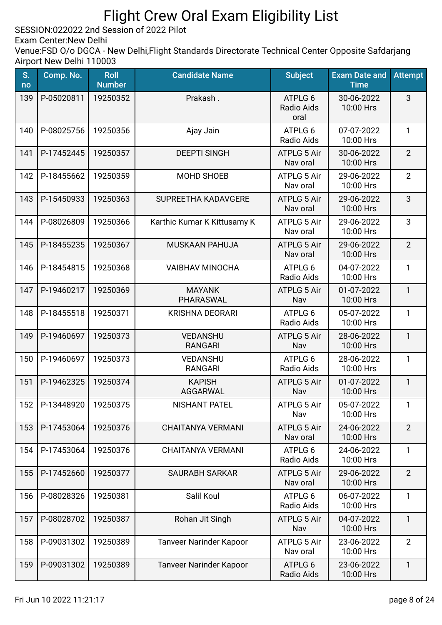SESSION:022022 2nd Session of 2022 Pilot

Exam Center:New Delhi

| S.<br>no | Comp. No.  | <b>Roll</b><br><b>Number</b> | <b>Candidate Name</b>          | <b>Subject</b>                       | <b>Exam Date and</b><br><b>Time</b> | <b>Attempt</b> |
|----------|------------|------------------------------|--------------------------------|--------------------------------------|-------------------------------------|----------------|
| 139      | P-05020811 | 19250352                     | Prakash.                       | ATPLG 6<br><b>Radio Aids</b><br>oral | 30-06-2022<br>10:00 Hrs             | 3              |
| 140      | P-08025756 | 19250356                     | Ajay Jain                      | ATPLG 6<br>Radio Aids                | 07-07-2022<br>10:00 Hrs             | $\mathbf{1}$   |
| 141      | P-17452445 | 19250357                     | <b>DEEPTI SINGH</b>            | <b>ATPLG 5 Air</b><br>Nav oral       | 30-06-2022<br>10:00 Hrs             | $\overline{2}$ |
| 142      | P-18455662 | 19250359                     | MOHD SHOEB                     | <b>ATPLG 5 Air</b><br>Nav oral       | 29-06-2022<br>10:00 Hrs             | $\overline{2}$ |
| 143      | P-15450933 | 19250363                     | SUPREETHA KADAVGERE            | <b>ATPLG 5 Air</b><br>Nav oral       | 29-06-2022<br>10:00 Hrs             | 3              |
| 144      | P-08026809 | 19250366                     | Karthic Kumar K Kittusamy K    | <b>ATPLG 5 Air</b><br>Nav oral       | 29-06-2022<br>10:00 Hrs             | 3              |
| 145      | P-18455235 | 19250367                     | <b>MUSKAAN PAHUJA</b>          | <b>ATPLG 5 Air</b><br>Nav oral       | 29-06-2022<br>10:00 Hrs             | $\overline{2}$ |
| 146      | P-18454815 | 19250368                     | <b>VAIBHAV MINOCHA</b>         | ATPLG 6<br>Radio Aids                | 04-07-2022<br>10:00 Hrs             | $\mathbf{1}$   |
| 147      | P-19460217 | 19250369                     | <b>MAYANK</b><br>PHARASWAL     | <b>ATPLG 5 Air</b><br>Nav            | 01-07-2022<br>10:00 Hrs             | $\mathbf{1}$   |
| 148      | P-18455518 | 19250371                     | <b>KRISHNA DEORARI</b>         | ATPLG 6<br>Radio Aids                | 05-07-2022<br>10:00 Hrs             | $\mathbf{1}$   |
| 149      | P-19460697 | 19250373                     | VEDANSHU<br><b>RANGARI</b>     | <b>ATPLG 5 Air</b><br>Nav            | 28-06-2022<br>10:00 Hrs             | $\mathbf{1}$   |
| 150      | P-19460697 | 19250373                     | VEDANSHU<br><b>RANGARI</b>     | ATPLG 6<br>Radio Aids                | 28-06-2022<br>10:00 Hrs             | $\mathbf{1}$   |
| 151      | P-19462325 | 19250374                     | <b>KAPISH</b><br>AGGARWAL      | <b>ATPLG 5 Air</b><br>Nav            | 01-07-2022<br>10:00 Hrs             | $\mathbf{1}$   |
| 152      | P-13448920 | 19250375                     | NISHANT PATEL                  | ATPLG 5 Air<br>Nav                   | 05-07-2022<br>10:00 Hrs             | 1              |
| 153      | P-17453064 | 19250376                     | <b>CHAITANYA VERMANI</b>       | <b>ATPLG 5 Air</b><br>Nav oral       | 24-06-2022<br>10:00 Hrs             | $\overline{2}$ |
| 154      | P-17453064 | 19250376                     | <b>CHAITANYA VERMANI</b>       | ATPLG 6<br>Radio Aids                | 24-06-2022<br>10:00 Hrs             | $\mathbf{1}$   |
| 155      | P-17452660 | 19250377                     | <b>SAURABH SARKAR</b>          | <b>ATPLG 5 Air</b><br>Nav oral       | 29-06-2022<br>10:00 Hrs             | $\overline{2}$ |
| 156      | P-08028326 | 19250381                     | Salil Koul                     | ATPLG 6<br>Radio Aids                | 06-07-2022<br>10:00 Hrs             | $\mathbf{1}$   |
| 157      | P-08028702 | 19250387                     | Rohan Jit Singh                | <b>ATPLG 5 Air</b><br>Nav            | 04-07-2022<br>10:00 Hrs             | $\mathbf{1}$   |
| 158      | P-09031302 | 19250389                     | <b>Tanveer Narinder Kapoor</b> | <b>ATPLG 5 Air</b><br>Nav oral       | 23-06-2022<br>10:00 Hrs             | $\overline{2}$ |
| 159      | P-09031302 | 19250389                     | <b>Tanveer Narinder Kapoor</b> | ATPLG 6<br>Radio Aids                | 23-06-2022<br>10:00 Hrs             | $\mathbf{1}$   |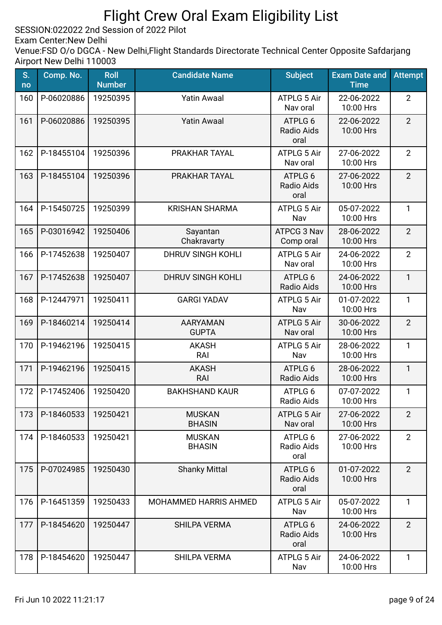SESSION:022022 2nd Session of 2022 Pilot

Exam Center:New Delhi

| S.<br>no | Comp. No.  | <b>Roll</b><br><b>Number</b> | <b>Candidate Name</b>           | <b>Subject</b>                       | <b>Exam Date and</b><br><b>Time</b> | <b>Attempt</b> |
|----------|------------|------------------------------|---------------------------------|--------------------------------------|-------------------------------------|----------------|
| 160      | P-06020886 | 19250395                     | <b>Yatin Awaal</b>              | ATPLG 5 Air<br>Nav oral              | 22-06-2022<br>10:00 Hrs             | $\overline{2}$ |
| 161      | P-06020886 | 19250395                     | <b>Yatin Awaal</b>              | ATPLG 6<br>Radio Aids<br>oral        | 22-06-2022<br>10:00 Hrs             | $\overline{2}$ |
| 162      | P-18455104 | 19250396                     | PRAKHAR TAYAL                   | ATPLG 5 Air<br>Nav oral              | 27-06-2022<br>10:00 Hrs             | $\overline{2}$ |
| 163      | P-18455104 | 19250396                     | PRAKHAR TAYAL                   | ATPLG 6<br><b>Radio Aids</b><br>oral | 27-06-2022<br>10:00 Hrs             | $\overline{2}$ |
| 164      | P-15450725 | 19250399                     | <b>KRISHAN SHARMA</b>           | <b>ATPLG 5 Air</b><br>Nav            | 05-07-2022<br>10:00 Hrs             | 1              |
| 165      | P-03016942 | 19250406                     | Sayantan<br>Chakravarty         | ATPCG 3 Nav<br>Comp oral             | 28-06-2022<br>10:00 Hrs             | $\overline{2}$ |
| 166      | P-17452638 | 19250407                     | <b>DHRUV SINGH KOHLI</b>        | <b>ATPLG 5 Air</b><br>Nav oral       | 24-06-2022<br>10:00 Hrs             | $\overline{2}$ |
| 167      | P-17452638 | 19250407                     | <b>DHRUV SINGH KOHLI</b>        | ATPLG 6<br>Radio Aids                | 24-06-2022<br>10:00 Hrs             | $\mathbf{1}$   |
| 168      | P-12447971 | 19250411                     | <b>GARGI YADAV</b>              | <b>ATPLG 5 Air</b><br>Nav            | 01-07-2022<br>10:00 Hrs             | $\mathbf{1}$   |
| 169      | P-18460214 | 19250414                     | <b>AARYAMAN</b><br><b>GUPTA</b> | <b>ATPLG 5 Air</b><br>Nav oral       | 30-06-2022<br>10:00 Hrs             | $\overline{2}$ |
| 170      | P-19462196 | 19250415                     | <b>AKASH</b><br>RAI             | <b>ATPLG 5 Air</b><br>Nav            | 28-06-2022<br>10:00 Hrs             | 1              |
| 171      | P-19462196 | 19250415                     | <b>AKASH</b><br>RAI             | ATPLG 6<br>Radio Aids                | 28-06-2022<br>10:00 Hrs             | $\mathbf{1}$   |
| 172      | P-17452406 | 19250420                     | <b>BAKHSHAND KAUR</b>           | ATPLG 6<br>Radio Aids                | 07-07-2022<br>10:00 Hrs             | 1              |
| 173      | P-18460533 | 19250421                     | <b>MUSKAN</b><br><b>BHASIN</b>  | <b>ATPLG 5 Air</b><br>Nav oral       | 27-06-2022<br>10:00 Hrs             | $\overline{2}$ |
| 174      | P-18460533 | 19250421                     | <b>MUSKAN</b><br><b>BHASIN</b>  | ATPLG 6<br>Radio Aids<br>oral        | 27-06-2022<br>10:00 Hrs             | $\overline{2}$ |
| 175      | P-07024985 | 19250430                     | <b>Shanky Mittal</b>            | ATPLG 6<br>Radio Aids<br>oral        | 01-07-2022<br>10:00 Hrs             | $\overline{2}$ |
| 176      | P-16451359 | 19250433                     | <b>MOHAMMED HARRIS AHMED</b>    | <b>ATPLG 5 Air</b><br>Nav            | 05-07-2022<br>10:00 Hrs             | $\mathbf{1}$   |
| 177      | P-18454620 | 19250447                     | <b>SHILPA VERMA</b>             | ATPLG 6<br>Radio Aids<br>oral        | 24-06-2022<br>10:00 Hrs             | $\overline{2}$ |
| 178      | P-18454620 | 19250447                     | <b>SHILPA VERMA</b>             | <b>ATPLG 5 Air</b><br>Nav            | 24-06-2022<br>10:00 Hrs             | 1              |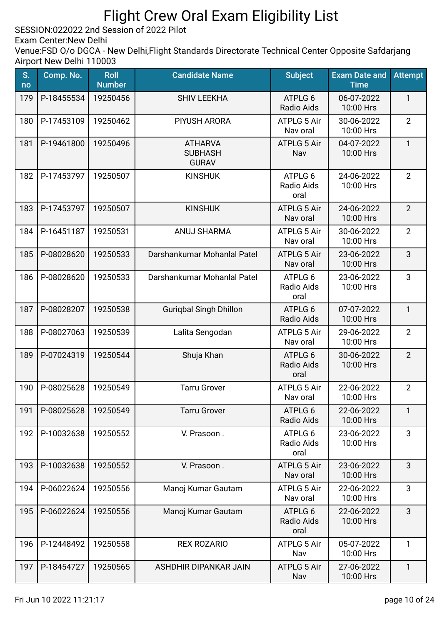SESSION:022022 2nd Session of 2022 Pilot

Exam Center:New Delhi

| S.<br>no | Comp. No.  | <b>Roll</b><br><b>Number</b> | <b>Candidate Name</b>                            | <b>Subject</b>                 | <b>Exam Date and</b><br><b>Time</b> | <b>Attempt</b> |
|----------|------------|------------------------------|--------------------------------------------------|--------------------------------|-------------------------------------|----------------|
| 179      | P-18455534 | 19250456                     | <b>SHIV LEEKHA</b>                               | ATPLG 6<br>Radio Aids          | 06-07-2022<br>10:00 Hrs             | 1              |
| 180      | P-17453109 | 19250462                     | <b>PIYUSH ARORA</b>                              | <b>ATPLG 5 Air</b><br>Nav oral | 30-06-2022<br>10:00 Hrs             | $\overline{2}$ |
| 181      | P-19461800 | 19250496                     | <b>ATHARVA</b><br><b>SUBHASH</b><br><b>GURAV</b> | ATPLG 5 Air<br>Nav             | 04-07-2022<br>10:00 Hrs             | $\mathbf{1}$   |
| 182      | P-17453797 | 19250507                     | <b>KINSHUK</b>                                   | ATPLG 6<br>Radio Aids<br>oral  | 24-06-2022<br>10:00 Hrs             | $\overline{2}$ |
| 183      | P-17453797 | 19250507                     | <b>KINSHUK</b>                                   | <b>ATPLG 5 Air</b><br>Nav oral | 24-06-2022<br>10:00 Hrs             | $\overline{2}$ |
| 184      | P-16451187 | 19250531                     | <b>ANUJ SHARMA</b>                               | <b>ATPLG 5 Air</b><br>Nav oral | 30-06-2022<br>10:00 Hrs             | $\overline{2}$ |
| 185      | P-08028620 | 19250533                     | Darshankumar Mohanlal Patel                      | <b>ATPLG 5 Air</b><br>Nav oral | 23-06-2022<br>10:00 Hrs             | 3              |
| 186      | P-08028620 | 19250533                     | Darshankumar Mohanlal Patel                      | ATPLG 6<br>Radio Aids<br>oral  | 23-06-2022<br>10:00 Hrs             | 3              |
| 187      | P-08028207 | 19250538                     | <b>Gurigbal Singh Dhillon</b>                    | ATPLG 6<br>Radio Aids          | 07-07-2022<br>10:00 Hrs             | $\mathbf{1}$   |
| 188      | P-08027063 | 19250539                     | Lalita Sengodan                                  | <b>ATPLG 5 Air</b><br>Nav oral | 29-06-2022<br>10:00 Hrs             | $\overline{2}$ |
| 189      | P-07024319 | 19250544                     | Shuja Khan                                       | ATPLG 6<br>Radio Aids<br>oral  | 30-06-2022<br>10:00 Hrs             | $\overline{2}$ |
| 190      | P-08025628 | 19250549                     | <b>Tarru Grover</b>                              | <b>ATPLG 5 Air</b><br>Nav oral | 22-06-2022<br>10:00 Hrs             | $\overline{2}$ |
| 191      | P-08025628 | 19250549                     | <b>Tarru Grover</b>                              | ATPLG 6<br>Radio Aids          | 22-06-2022<br>10:00 Hrs             | $\mathbf{1}$   |
| 192      | P-10032638 | 19250552                     | V. Prasoon.                                      | ATPLG 6<br>Radio Aids<br>oral  | 23-06-2022<br>10:00 Hrs             | 3              |
| 193      | P-10032638 | 19250552                     | V. Prasoon.                                      | <b>ATPLG 5 Air</b><br>Nav oral | 23-06-2022<br>10:00 Hrs             | 3              |
| 194      | P-06022624 | 19250556                     | Manoj Kumar Gautam                               | <b>ATPLG 5 Air</b><br>Nav oral | 22-06-2022<br>10:00 Hrs             | 3              |
| 195      | P-06022624 | 19250556                     | Manoj Kumar Gautam                               | ATPLG 6<br>Radio Aids<br>oral  | 22-06-2022<br>10:00 Hrs             | 3              |
| 196      | P-12448492 | 19250558                     | <b>REX ROZARIO</b>                               | <b>ATPLG 5 Air</b><br>Nav      | 05-07-2022<br>10:00 Hrs             | $\mathbf{1}$   |
| 197      | P-18454727 | 19250565                     | ASHDHIR DIPANKAR JAIN                            | <b>ATPLG 5 Air</b><br>Nav      | 27-06-2022<br>10:00 Hrs             | $\mathbf{1}$   |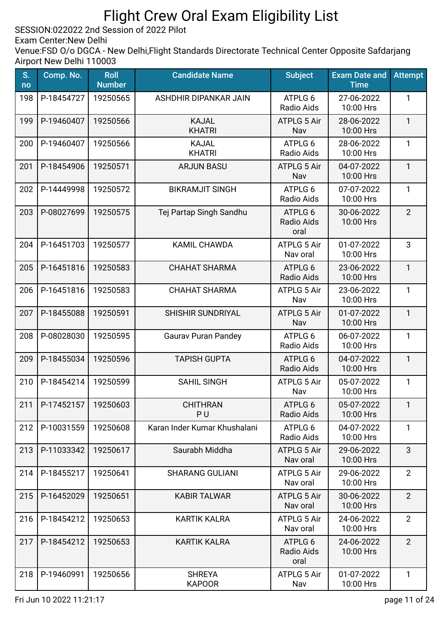SESSION:022022 2nd Session of 2022 Pilot

Exam Center:New Delhi

| S.<br>no | Comp. No.  | <b>Roll</b><br><b>Number</b> | <b>Candidate Name</b>             | <b>Subject</b>                       | <b>Exam Date and</b><br><b>Time</b> | <b>Attempt</b> |
|----------|------------|------------------------------|-----------------------------------|--------------------------------------|-------------------------------------|----------------|
| 198      | P-18454727 | 19250565                     | ASHDHIR DIPANKAR JAIN             | ATPLG 6<br>Radio Aids                | 27-06-2022<br>10:00 Hrs             | 1              |
| 199      | P-19460407 | 19250566                     | <b>KAJAL</b><br><b>KHATRI</b>     | <b>ATPLG 5 Air</b><br>Nav            | 28-06-2022<br>10:00 Hrs             | $\mathbf{1}$   |
| 200      | P-19460407 | 19250566                     | <b>KAJAL</b><br><b>KHATRI</b>     | ATPLG 6<br>Radio Aids                | 28-06-2022<br>10:00 Hrs             | $\mathbf{1}$   |
| 201      | P-18454906 | 19250571                     | <b>ARJUN BASU</b>                 | <b>ATPLG 5 Air</b><br>Nav            | 04-07-2022<br>10:00 Hrs             | $\mathbf{1}$   |
| 202      | P-14449998 | 19250572                     | <b>BIKRAMJIT SINGH</b>            | ATPLG 6<br>Radio Aids                | 07-07-2022<br>10:00 Hrs             | 1              |
| 203      | P-08027699 | 19250575                     | Tej Partap Singh Sandhu           | ATPLG 6<br><b>Radio Aids</b><br>oral | 30-06-2022<br>10:00 Hrs             | $\overline{2}$ |
| 204      | P-16451703 | 19250577                     | <b>KAMIL CHAWDA</b>               | <b>ATPLG 5 Air</b><br>Nav oral       | 01-07-2022<br>10:00 Hrs             | 3              |
| 205      | P-16451816 | 19250583                     | <b>CHAHAT SHARMA</b>              | ATPLG 6<br>Radio Aids                | 23-06-2022<br>10:00 Hrs             | $\mathbf{1}$   |
| 206      | P-16451816 | 19250583                     | <b>CHAHAT SHARMA</b>              | <b>ATPLG 5 Air</b><br>Nav            | 23-06-2022<br>10:00 Hrs             | $\mathbf{1}$   |
| 207      | P-18455088 | 19250591                     | <b>SHISHIR SUNDRIYAL</b>          | <b>ATPLG 5 Air</b><br>Nav            | 01-07-2022<br>10:00 Hrs             | $\mathbf{1}$   |
| 208      | P-08028030 | 19250595                     | <b>Gaurav Puran Pandey</b>        | ATPLG 6<br>Radio Aids                | 06-07-2022<br>10:00 Hrs             | $\mathbf{1}$   |
| 209      | P-18455034 | 19250596                     | <b>TAPISH GUPTA</b>               | ATPLG 6<br>Radio Aids                | 04-07-2022<br>10:00 Hrs             | $\mathbf{1}$   |
| 210      | P-18454214 | 19250599                     | <b>SAHIL SINGH</b>                | <b>ATPLG 5 Air</b><br>Nav            | 05-07-2022<br>10:00 Hrs             | 1              |
| 211      | P-17452157 | 19250603                     | <b>CHITHRAN</b><br>P <sub>U</sub> | ATPLG 6<br>Radio Aids                | 05-07-2022<br>10:00 Hrs             | 1              |
| 212      | P-10031559 | 19250608                     | Karan Inder Kumar Khushalani      | ATPLG 6<br>Radio Aids                | 04-07-2022<br>10:00 Hrs             | $\mathbf{1}$   |
| 213      | P-11033342 | 19250617                     | Saurabh Middha                    | <b>ATPLG 5 Air</b><br>Nav oral       | 29-06-2022<br>10:00 Hrs             | 3              |
| 214      | P-18455217 | 19250641                     | <b>SHARANG GULIANI</b>            | <b>ATPLG 5 Air</b><br>Nav oral       | 29-06-2022<br>10:00 Hrs             | $\overline{2}$ |
| 215      | P-16452029 | 19250651                     | <b>KABIR TALWAR</b>               | <b>ATPLG 5 Air</b><br>Nav oral       | 30-06-2022<br>10:00 Hrs             | $\overline{2}$ |
| 216      | P-18454212 | 19250653                     | <b>KARTIK KALRA</b>               | <b>ATPLG 5 Air</b><br>Nav oral       | 24-06-2022<br>10:00 Hrs             | $\overline{2}$ |
| 217      | P-18454212 | 19250653                     | <b>KARTIK KALRA</b>               | ATPLG 6<br>Radio Aids<br>oral        | 24-06-2022<br>10:00 Hrs             | $\overline{2}$ |
| 218      | P-19460991 | 19250656                     | <b>SHREYA</b><br><b>KAPOOR</b>    | <b>ATPLG 5 Air</b><br>Nav            | 01-07-2022<br>10:00 Hrs             | $\mathbf{1}$   |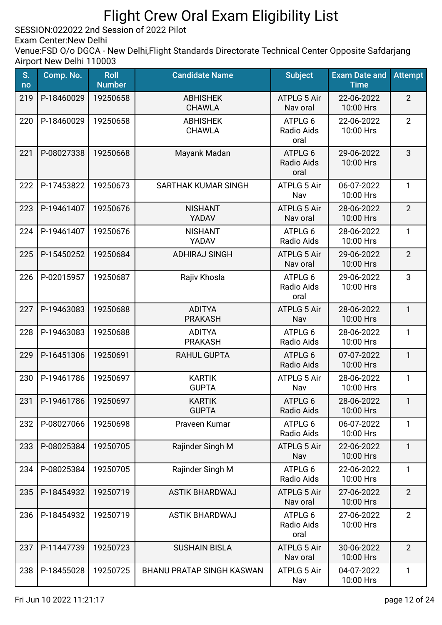SESSION:022022 2nd Session of 2022 Pilot

Exam Center:New Delhi

| S.<br>no | Comp. No.  | <b>Roll</b><br><b>Number</b> | <b>Candidate Name</b>            | <b>Subject</b>                 | <b>Exam Date and</b><br><b>Time</b> | <b>Attempt</b> |
|----------|------------|------------------------------|----------------------------------|--------------------------------|-------------------------------------|----------------|
| 219      | P-18460029 | 19250658                     | <b>ABHISHEK</b><br><b>CHAWLA</b> | <b>ATPLG 5 Air</b><br>Nav oral | 22-06-2022<br>10:00 Hrs             | $\overline{2}$ |
| 220      | P-18460029 | 19250658                     | <b>ABHISHEK</b><br><b>CHAWLA</b> | ATPLG 6<br>Radio Aids<br>oral  | 22-06-2022<br>10:00 Hrs             | $\overline{2}$ |
| 221      | P-08027338 | 19250668                     | Mayank Madan                     | ATPLG 6<br>Radio Aids<br>oral  | 29-06-2022<br>10:00 Hrs             | 3              |
| 222      | P-17453822 | 19250673                     | SARTHAK KUMAR SINGH              | <b>ATPLG 5 Air</b><br>Nav      | 06-07-2022<br>10:00 Hrs             | 1              |
| 223      | P-19461407 | 19250676                     | <b>NISHANT</b><br>YADAV          | <b>ATPLG 5 Air</b><br>Nav oral | 28-06-2022<br>10:00 Hrs             | $\overline{2}$ |
| 224      | P-19461407 | 19250676                     | <b>NISHANT</b><br>YADAV          | ATPLG 6<br>Radio Aids          | 28-06-2022<br>10:00 Hrs             | $\mathbf{1}$   |
| 225      | P-15450252 | 19250684                     | <b>ADHIRAJ SINGH</b>             | <b>ATPLG 5 Air</b><br>Nav oral | 29-06-2022<br>10:00 Hrs             | $\overline{2}$ |
| 226      | P-02015957 | 19250687                     | Rajiv Khosla                     | ATPLG 6<br>Radio Aids<br>oral  | 29-06-2022<br>10:00 Hrs             | 3              |
| 227      | P-19463083 | 19250688                     | <b>ADITYA</b><br><b>PRAKASH</b>  | <b>ATPLG 5 Air</b><br>Nav      | 28-06-2022<br>10:00 Hrs             | $\mathbf{1}$   |
| 228      | P-19463083 | 19250688                     | <b>ADITYA</b><br><b>PRAKASH</b>  | ATPLG 6<br>Radio Aids          | 28-06-2022<br>10:00 Hrs             | $\mathbf{1}$   |
| 229      | P-16451306 | 19250691                     | <b>RAHUL GUPTA</b>               | ATPLG 6<br>Radio Aids          | 07-07-2022<br>10:00 Hrs             | 1              |
| 230      | P-19461786 | 19250697                     | <b>KARTIK</b><br><b>GUPTA</b>    | <b>ATPLG 5 Air</b><br>Nav      | 28-06-2022<br>10:00 Hrs             | 1              |
| 231      | P-19461786 | 19250697                     | <b>KARTIK</b><br><b>GUPTA</b>    | ATPLG 6<br><b>Radio Aids</b>   | 28-06-2022<br>10:00 Hrs             | $\mathbf{1}$   |
| 232      | P-08027066 | 19250698                     | Praveen Kumar                    | ATPLG 6<br>Radio Aids          | 06-07-2022<br>10:00 Hrs             | $\mathbf{1}$   |
| 233      | P-08025384 | 19250705                     | Rajinder Singh M                 | <b>ATPLG 5 Air</b><br>Nav      | 22-06-2022<br>10:00 Hrs             | $\mathbf{1}$   |
| 234      | P-08025384 | 19250705                     | Rajinder Singh M                 | ATPLG 6<br>Radio Aids          | 22-06-2022<br>10:00 Hrs             | $\mathbf{1}$   |
| 235      | P-18454932 | 19250719                     | <b>ASTIK BHARDWAJ</b>            | <b>ATPLG 5 Air</b><br>Nav oral | 27-06-2022<br>10:00 Hrs             | $\overline{2}$ |
| 236      | P-18454932 | 19250719                     | <b>ASTIK BHARDWAJ</b>            | ATPLG 6<br>Radio Aids<br>oral  | 27-06-2022<br>10:00 Hrs             | $\overline{2}$ |
| 237      | P-11447739 | 19250723                     | <b>SUSHAIN BISLA</b>             | <b>ATPLG 5 Air</b><br>Nav oral | 30-06-2022<br>10:00 Hrs             | $\overline{2}$ |
| 238      | P-18455028 | 19250725                     | <b>BHANU PRATAP SINGH KASWAN</b> | <b>ATPLG 5 Air</b><br>Nav      | 04-07-2022<br>10:00 Hrs             | 1              |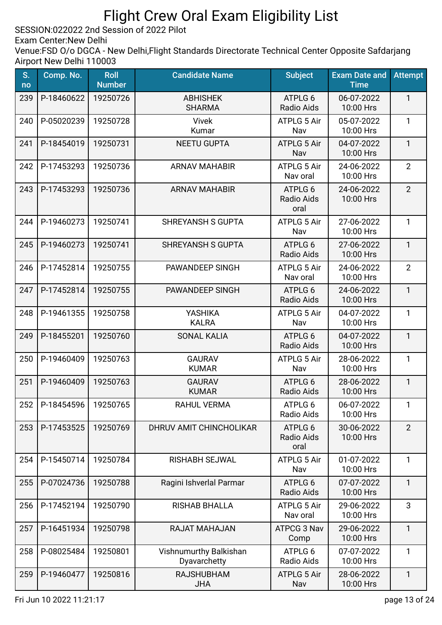SESSION:022022 2nd Session of 2022 Pilot

Exam Center:New Delhi

| S.<br>no | Comp. No.             | <b>Roll</b><br><b>Number</b> | <b>Candidate Name</b>                  | <b>Subject</b>                       | <b>Exam Date and</b><br><b>Time</b> | <b>Attempt</b> |
|----------|-----------------------|------------------------------|----------------------------------------|--------------------------------------|-------------------------------------|----------------|
| 239      | P-18460622            | 19250726                     | <b>ABHISHEK</b><br><b>SHARMA</b>       | ATPLG 6<br>Radio Aids                | 06-07-2022<br>10:00 Hrs             | $\mathbf{1}$   |
| 240      | P-05020239            | 19250728                     | <b>Vivek</b><br>Kumar                  | ATPLG 5 Air<br>Nav                   | 05-07-2022<br>10:00 Hrs             | 1              |
| 241      | P-18454019            | 19250731                     | <b>NEETU GUPTA</b>                     | <b>ATPLG 5 Air</b><br>Nav            | 04-07-2022<br>10:00 Hrs             | $\mathbf{1}$   |
| 242      | P-17453293            | 19250736                     | <b>ARNAV MAHABIR</b>                   | <b>ATPLG 5 Air</b><br>Nav oral       | 24-06-2022<br>10:00 Hrs             | $\overline{2}$ |
| 243      | P-17453293            | 19250736                     | <b>ARNAV MAHABIR</b>                   | ATPLG 6<br>Radio Aids<br>oral        | 24-06-2022<br>10:00 Hrs             | $\overline{2}$ |
| 244      | P-19460273            | 19250741                     | <b>SHREYANSH S GUPTA</b>               | <b>ATPLG 5 Air</b><br>Nav            | 27-06-2022<br>10:00 Hrs             | $\mathbf{1}$   |
| 245      | P-19460273            | 19250741                     | <b>SHREYANSH S GUPTA</b>               | ATPLG 6<br>Radio Aids                | 27-06-2022<br>10:00 Hrs             | $\mathbf{1}$   |
| 246      | P-17452814            | 19250755                     | PAWANDEEP SINGH                        | <b>ATPLG 5 Air</b><br>Nav oral       | 24-06-2022<br>10:00 Hrs             | $\overline{2}$ |
| 247      | P-17452814            | 19250755                     | PAWANDEEP SINGH                        | ATPLG 6<br>Radio Aids                | 24-06-2022<br>10:00 Hrs             | 1              |
| 248      | P-19461355            | 19250758                     | <b>YASHIKA</b><br><b>KALRA</b>         | <b>ATPLG 5 Air</b><br>Nav            | 04-07-2022<br>10:00 Hrs             | 1              |
| 249      | P-18455201            | 19250760                     | <b>SONAL KALIA</b>                     | ATPLG 6<br>Radio Aids                | 04-07-2022<br>10:00 Hrs             | $\mathbf{1}$   |
| 250      | P-19460409            | 19250763                     | <b>GAURAV</b><br><b>KUMAR</b>          | <b>ATPLG 5 Air</b><br>Nav            | 28-06-2022<br>10:00 Hrs             | 1              |
| 251      | P-19460409            | 19250763                     | <b>GAURAV</b><br><b>KUMAR</b>          | ATPLG 6<br>Radio Aids                | 28-06-2022<br>10:00 Hrs             | $\mathbf{1}$   |
| 252      | P-18454596   19250765 |                              | <b>RAHUL VERMA</b>                     | ATPLG 6<br>Radio Aids                | 06-07-2022<br>10:00 Hrs             | $\mathbf{1}$   |
| 253      | P-17453525            | 19250769                     | DHRUV AMIT CHINCHOLIKAR                | ATPLG 6<br><b>Radio Aids</b><br>oral | 30-06-2022<br>10:00 Hrs             | $\overline{2}$ |
| 254      | P-15450714            | 19250784                     | <b>RISHABH SEJWAL</b>                  | <b>ATPLG 5 Air</b><br>Nav            | 01-07-2022<br>10:00 Hrs             | $\mathbf{1}$   |
| 255      | P-07024736            | 19250788                     | Ragini Ishverlal Parmar                | ATPLG 6<br>Radio Aids                | 07-07-2022<br>10:00 Hrs             | 1              |
| 256      | P-17452194            | 19250790                     | <b>RISHAB BHALLA</b>                   | <b>ATPLG 5 Air</b><br>Nav oral       | 29-06-2022<br>10:00 Hrs             | 3              |
| 257      | P-16451934            | 19250798                     | RAJAT MAHAJAN                          | ATPCG 3 Nav<br>Comp                  | 29-06-2022<br>10:00 Hrs             | $\mathbf{1}$   |
| 258      | P-08025484            | 19250801                     | Vishnumurthy Balkishan<br>Dyavarchetty | ATPLG 6<br>Radio Aids                | 07-07-2022<br>10:00 Hrs             | $\mathbf{1}$   |
| 259      | P-19460477            | 19250816                     | <b>RAJSHUBHAM</b><br><b>JHA</b>        | <b>ATPLG 5 Air</b><br>Nav            | 28-06-2022<br>10:00 Hrs             | 1              |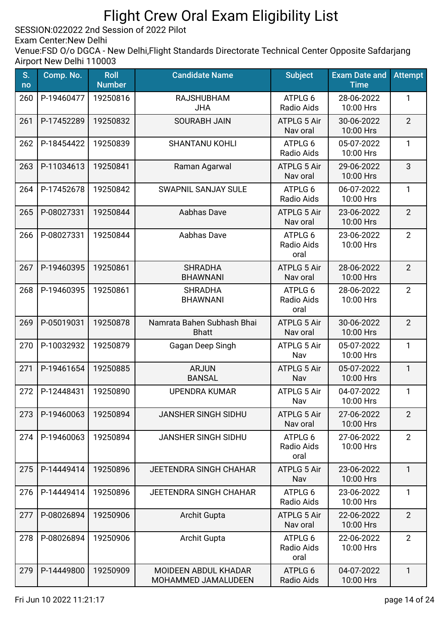SESSION:022022 2nd Session of 2022 Pilot

Exam Center:New Delhi

| S.<br>no | Comp. No.  | <b>Roll</b><br><b>Number</b> | <b>Candidate Name</b>                       | <b>Subject</b>                 | <b>Exam Date and</b><br><b>Time</b> | <b>Attempt</b> |
|----------|------------|------------------------------|---------------------------------------------|--------------------------------|-------------------------------------|----------------|
| 260      | P-19460477 | 19250816                     | <b>RAJSHUBHAM</b><br><b>JHA</b>             | ATPLG 6<br>Radio Aids          | 28-06-2022<br>10:00 Hrs             | 1              |
| 261      | P-17452289 | 19250832                     | <b>SOURABH JAIN</b>                         | <b>ATPLG 5 Air</b><br>Nav oral | 30-06-2022<br>10:00 Hrs             | $\overline{2}$ |
| 262      | P-18454422 | 19250839                     | <b>SHANTANU KOHLI</b>                       | ATPLG 6<br>Radio Aids          | 05-07-2022<br>10:00 Hrs             | 1              |
| 263      | P-11034613 | 19250841                     | Raman Agarwal                               | <b>ATPLG 5 Air</b><br>Nav oral | 29-06-2022<br>10:00 Hrs             | 3              |
| 264      | P-17452678 | 19250842                     | <b>SWAPNIL SANJAY SULE</b>                  | ATPLG 6<br>Radio Aids          | 06-07-2022<br>10:00 Hrs             | $\mathbf{1}$   |
| 265      | P-08027331 | 19250844                     | Aabhas Dave                                 | ATPLG 5 Air<br>Nav oral        | 23-06-2022<br>10:00 Hrs             | $\overline{2}$ |
| 266      | P-08027331 | 19250844                     | Aabhas Dave                                 | ATPLG 6<br>Radio Aids<br>oral  | 23-06-2022<br>10:00 Hrs             | $\overline{2}$ |
| 267      | P-19460395 | 19250861                     | <b>SHRADHA</b><br><b>BHAWNANI</b>           | ATPLG 5 Air<br>Nav oral        | 28-06-2022<br>10:00 Hrs             | $\overline{2}$ |
| 268      | P-19460395 | 19250861                     | <b>SHRADHA</b><br><b>BHAWNANI</b>           | ATPLG 6<br>Radio Aids<br>oral  | 28-06-2022<br>10:00 Hrs             | $\overline{2}$ |
| 269      | P-05019031 | 19250878                     | Namrata Bahen Subhash Bhai<br><b>Bhatt</b>  | ATPLG 5 Air<br>Nav oral        | 30-06-2022<br>10:00 Hrs             | $\overline{2}$ |
| 270      | P-10032932 | 19250879                     | Gagan Deep Singh                            | <b>ATPLG 5 Air</b><br>Nav      | 05-07-2022<br>10:00 Hrs             | 1              |
| 271      | P-19461654 | 19250885                     | <b>ARJUN</b><br><b>BANSAL</b>               | <b>ATPLG 5 Air</b><br>Nav      | 05-07-2022<br>10:00 Hrs             | $\mathbf{1}$   |
| 272      | P-12448431 | 19250890                     | <b>UPENDRA KUMAR</b>                        | ATPLG 5 Air<br>Nav             | 04-07-2022<br>10:00 Hrs             | 1              |
| 273      | P-19460063 | 19250894                     | <b>JANSHER SINGH SIDHU</b>                  | <b>ATPLG 5 Air</b><br>Nav oral | 27-06-2022<br>10:00 Hrs             | $\overline{2}$ |
| 274      | P-19460063 | 19250894                     | <b>JANSHER SINGH SIDHU</b>                  | ATPLG 6<br>Radio Aids<br>oral  | 27-06-2022<br>10:00 Hrs             | $\overline{2}$ |
| 275      | P-14449414 | 19250896                     | <b>JEETENDRA SINGH CHAHAR</b>               | <b>ATPLG 5 Air</b><br>Nav      | 23-06-2022<br>10:00 Hrs             | $\mathbf{1}$   |
| 276      | P-14449414 | 19250896                     | <b>JEETENDRA SINGH CHAHAR</b>               | ATPLG 6<br>Radio Aids          | 23-06-2022<br>10:00 Hrs             | $\mathbf{1}$   |
| 277      | P-08026894 | 19250906                     | <b>Archit Gupta</b>                         | <b>ATPLG 5 Air</b><br>Nav oral | 22-06-2022<br>10:00 Hrs             | $\overline{2}$ |
| 278      | P-08026894 | 19250906                     | Archit Gupta                                | ATPLG 6<br>Radio Aids<br>oral  | 22-06-2022<br>10:00 Hrs             | $\overline{2}$ |
| 279      | P-14449800 | 19250909                     | MOIDEEN ABDUL KHADAR<br>MOHAMMED JAMALUDEEN | ATPLG 6<br>Radio Aids          | 04-07-2022<br>10:00 Hrs             | 1              |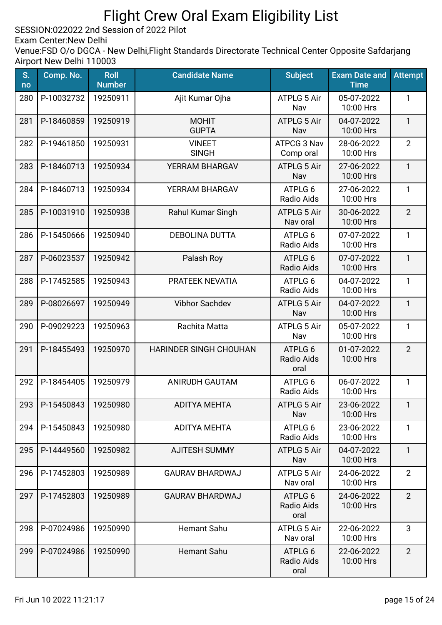SESSION:022022 2nd Session of 2022 Pilot

Exam Center:New Delhi

| S.<br>no | Comp. No.  | <b>Roll</b><br><b>Number</b> | <b>Candidate Name</b>         | <b>Subject</b>                       | <b>Exam Date and</b><br><b>Time</b> | <b>Attempt</b> |
|----------|------------|------------------------------|-------------------------------|--------------------------------------|-------------------------------------|----------------|
| 280      | P-10032732 | 19250911                     | Ajit Kumar Ojha               | ATPLG 5 Air<br>Nav                   | 05-07-2022<br>10:00 Hrs             | 1              |
| 281      | P-18460859 | 19250919                     | <b>MOHIT</b><br><b>GUPTA</b>  | <b>ATPLG 5 Air</b><br>Nav            | 04-07-2022<br>10:00 Hrs             | $\mathbf{1}$   |
| 282      | P-19461850 | 19250931                     | <b>VINEET</b><br><b>SINGH</b> | ATPCG 3 Nav<br>Comp oral             | 28-06-2022<br>10:00 Hrs             | $\overline{2}$ |
| 283      | P-18460713 | 19250934                     | YERRAM BHARGAV                | <b>ATPLG 5 Air</b><br>Nav            | 27-06-2022<br>10:00 Hrs             | $\mathbf{1}$   |
| 284      | P-18460713 | 19250934                     | YERRAM BHARGAV                | ATPLG 6<br>Radio Aids                | 27-06-2022<br>10:00 Hrs             | $\mathbf{1}$   |
| 285      | P-10031910 | 19250938                     | Rahul Kumar Singh             | <b>ATPLG 5 Air</b><br>Nav oral       | 30-06-2022<br>10:00 Hrs             | $\overline{2}$ |
| 286      | P-15450666 | 19250940                     | <b>DEBOLINA DUTTA</b>         | ATPLG 6<br>Radio Aids                | 07-07-2022<br>10:00 Hrs             | 1              |
| 287      | P-06023537 | 19250942                     | Palash Roy                    | ATPLG 6<br>Radio Aids                | 07-07-2022<br>10:00 Hrs             | $\mathbf{1}$   |
| 288      | P-17452585 | 19250943                     | PRATEEK NEVATIA               | ATPLG 6<br>Radio Aids                | 04-07-2022<br>10:00 Hrs             | $\mathbf{1}$   |
| 289      | P-08026697 | 19250949                     | <b>Vibhor Sachdev</b>         | ATPLG 5 Air<br>Nav                   | 04-07-2022<br>10:00 Hrs             | $\mathbf{1}$   |
| 290      | P-09029223 | 19250963                     | Rachita Matta                 | <b>ATPLG 5 Air</b><br>Nav            | 05-07-2022<br>10:00 Hrs             | $\mathbf{1}$   |
| 291      | P-18455493 | 19250970                     | HARINDER SINGH CHOUHAN        | ATPLG 6<br>Radio Aids<br>oral        | 01-07-2022<br>10:00 Hrs             | $\overline{2}$ |
| 292      | P-18454405 | 19250979                     | <b>ANIRUDH GAUTAM</b>         | ATPLG 6<br>Radio Aids                | 06-07-2022<br>10:00 Hrs             | $\mathbf{1}$   |
| 293      | P-15450843 | 19250980                     | ADITYA MEHTA                  | ATPLG 5 Air<br>Nav                   | 23-06-2022<br>10:00 Hrs             | 1              |
| 294      | P-15450843 | 19250980                     | <b>ADITYA MEHTA</b>           | ATPLG 6<br>Radio Aids                | 23-06-2022<br>10:00 Hrs             | 1              |
| 295      | P-14449560 | 19250982                     | <b>AJITESH SUMMY</b>          | <b>ATPLG 5 Air</b><br>Nav            | 04-07-2022<br>10:00 Hrs             | $\mathbf{1}$   |
| 296      | P-17452803 | 19250989                     | <b>GAURAV BHARDWAJ</b>        | <b>ATPLG 5 Air</b><br>Nav oral       | 24-06-2022<br>10:00 Hrs             | $\overline{2}$ |
| 297      | P-17452803 | 19250989                     | <b>GAURAV BHARDWAJ</b>        | ATPLG 6<br><b>Radio Aids</b><br>oral | 24-06-2022<br>10:00 Hrs             | $\overline{2}$ |
| 298      | P-07024986 | 19250990                     | <b>Hemant Sahu</b>            | <b>ATPLG 5 Air</b><br>Nav oral       | 22-06-2022<br>10:00 Hrs             | 3              |
| 299      | P-07024986 | 19250990                     | <b>Hemant Sahu</b>            | ATPLG 6<br>Radio Aids<br>oral        | 22-06-2022<br>10:00 Hrs             | $\overline{2}$ |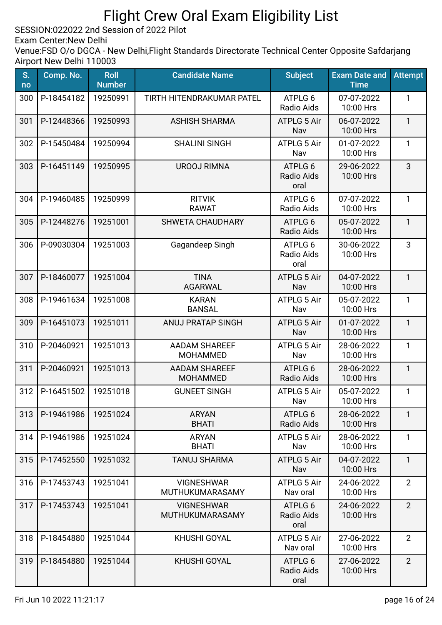SESSION:022022 2nd Session of 2022 Pilot

Exam Center:New Delhi

| S.<br>no | Comp. No.  | <b>Roll</b><br><b>Number</b> | <b>Candidate Name</b>                   | <b>Subject</b>                 | <b>Exam Date and</b><br><b>Time</b> | <b>Attempt</b> |
|----------|------------|------------------------------|-----------------------------------------|--------------------------------|-------------------------------------|----------------|
| 300      | P-18454182 | 19250991                     | TIRTH HITENDRAKUMAR PATEL               | ATPLG 6<br>Radio Aids          | 07-07-2022<br>10:00 Hrs             | 1              |
| 301      | P-12448366 | 19250993                     | <b>ASHISH SHARMA</b>                    | <b>ATPLG 5 Air</b><br>Nav      | 06-07-2022<br>10:00 Hrs             | $\mathbf{1}$   |
| 302      | P-15450484 | 19250994                     | <b>SHALINI SINGH</b>                    | <b>ATPLG 5 Air</b><br>Nav      | 01-07-2022<br>10:00 Hrs             | 1              |
| 303      | P-16451149 | 19250995                     | <b>UROOJ RIMNA</b>                      | ATPLG 6<br>Radio Aids<br>oral  | 29-06-2022<br>10:00 Hrs             | 3              |
| 304      | P-19460485 | 19250999                     | <b>RITVIK</b><br><b>RAWAT</b>           | ATPLG 6<br>Radio Aids          | 07-07-2022<br>10:00 Hrs             | $\mathbf{1}$   |
| 305      | P-12448276 | 19251001                     | <b>SHWETA CHAUDHARY</b>                 | ATPLG 6<br>Radio Aids          | 05-07-2022<br>10:00 Hrs             | $\mathbf{1}$   |
| 306      | P-09030304 | 19251003                     | Gagandeep Singh                         | ATPLG 6<br>Radio Aids<br>oral  | 30-06-2022<br>10:00 Hrs             | 3              |
| 307      | P-18460077 | 19251004                     | <b>TINA</b><br><b>AGARWAL</b>           | <b>ATPLG 5 Air</b><br>Nav      | 04-07-2022<br>10:00 Hrs             | $\mathbf{1}$   |
| 308      | P-19461634 | 19251008                     | <b>KARAN</b><br><b>BANSAL</b>           | <b>ATPLG 5 Air</b><br>Nav      | 05-07-2022<br>10:00 Hrs             | $\mathbf{1}$   |
| 309      | P-16451073 | 19251011                     | <b>ANUJ PRATAP SINGH</b>                | ATPLG 5 Air<br>Nav             | 01-07-2022<br>10:00 Hrs             | $\mathbf{1}$   |
| 310      | P-20460921 | 19251013                     | <b>AADAM SHAREEF</b><br><b>MOHAMMED</b> | <b>ATPLG 5 Air</b><br>Nav      | 28-06-2022<br>10:00 Hrs             | $\mathbf{1}$   |
| 311      | P-20460921 | 19251013                     | <b>AADAM SHAREEF</b><br><b>MOHAMMED</b> | ATPLG 6<br>Radio Aids          | 28-06-2022<br>10:00 Hrs             | 1              |
| 312      | P-16451502 | 19251018                     | <b>GUNEET SINGH</b>                     | <b>ATPLG 5 Air</b><br>Nav      | 05-07-2022<br>10:00 Hrs             | 1              |
| 313      | P-19461986 | 19251024                     | <b>ARYAN</b><br><b>BHATI</b>            | ATPLG 6<br>Radio Aids          | 28-06-2022<br>10:00 Hrs             | $\mathbf{1}$   |
| 314      | P-19461986 | 19251024                     | <b>ARYAN</b><br><b>BHATI</b>            | <b>ATPLG 5 Air</b><br>Nav      | 28-06-2022<br>10:00 Hrs             | 1              |
| 315      | P-17452550 | 19251032                     | <b>TANUJ SHARMA</b>                     | <b>ATPLG 5 Air</b><br>Nav      | 04-07-2022<br>10:00 Hrs             | $\mathbf{1}$   |
| 316      | P-17453743 | 19251041                     | <b>VIGNESHWAR</b><br>MUTHUKUMARASAMY    | <b>ATPLG 5 Air</b><br>Nav oral | 24-06-2022<br>10:00 Hrs             | $\overline{2}$ |
| 317      | P-17453743 | 19251041                     | <b>VIGNESHWAR</b><br>MUTHUKUMARASAMY    | ATPLG 6<br>Radio Aids<br>oral  | 24-06-2022<br>10:00 Hrs             | $\overline{2}$ |
| 318      | P-18454880 | 19251044                     | <b>KHUSHI GOYAL</b>                     | <b>ATPLG 5 Air</b><br>Nav oral | 27-06-2022<br>10:00 Hrs             | $\overline{2}$ |
| 319      | P-18454880 | 19251044                     | <b>KHUSHI GOYAL</b>                     | ATPLG 6<br>Radio Aids<br>oral  | 27-06-2022<br>10:00 Hrs             | $\overline{2}$ |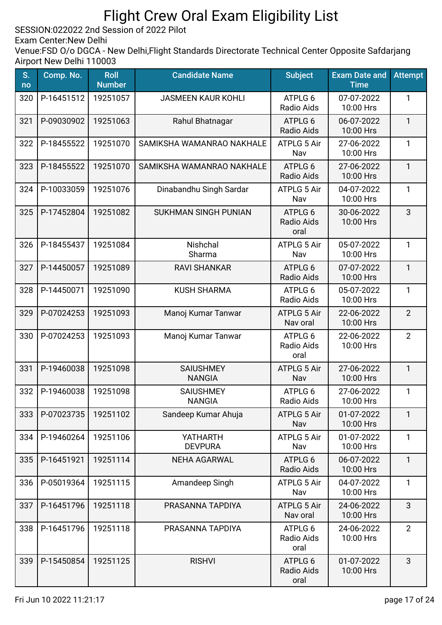SESSION:022022 2nd Session of 2022 Pilot

Exam Center:New Delhi

| S.<br>no | Comp. No.  | <b>Roll</b><br><b>Number</b> | <b>Candidate Name</b>             | <b>Subject</b>                 | <b>Exam Date and</b><br><b>Time</b> | <b>Attempt</b> |
|----------|------------|------------------------------|-----------------------------------|--------------------------------|-------------------------------------|----------------|
| 320      | P-16451512 | 19251057                     | <b>JASMEEN KAUR KOHLI</b>         | ATPLG 6<br>Radio Aids          | 07-07-2022<br>10:00 Hrs             | 1              |
| 321      | P-09030902 | 19251063                     | Rahul Bhatnagar                   | ATPLG 6<br>Radio Aids          | 06-07-2022<br>10:00 Hrs             | $\mathbf{1}$   |
| 322      | P-18455522 | 19251070                     | SAMIKSHA WAMANRAO NAKHALE         | ATPLG 5 Air<br>Nav             | 27-06-2022<br>10:00 Hrs             | $\mathbf{1}$   |
| 323      | P-18455522 | 19251070                     | SAMIKSHA WAMANRAO NAKHALE         | ATPLG 6<br>Radio Aids          | 27-06-2022<br>10:00 Hrs             | $\mathbf{1}$   |
| 324      | P-10033059 | 19251076                     | Dinabandhu Singh Sardar           | ATPLG 5 Air<br>Nav             | 04-07-2022<br>10:00 Hrs             | $\mathbf{1}$   |
| 325      | P-17452804 | 19251082                     | <b>SUKHMAN SINGH PUNIAN</b>       | ATPLG 6<br>Radio Aids<br>oral  | 30-06-2022<br>10:00 Hrs             | 3              |
| 326      | P-18455437 | 19251084                     | Nishchal<br>Sharma                | ATPLG 5 Air<br>Nav             | 05-07-2022<br>10:00 Hrs             | 1              |
| 327      | P-14450057 | 19251089                     | <b>RAVI SHANKAR</b>               | ATPLG 6<br>Radio Aids          | 07-07-2022<br>10:00 Hrs             | $\mathbf{1}$   |
| 328      | P-14450071 | 19251090                     | <b>KUSH SHARMA</b>                | ATPLG 6<br>Radio Aids          | 05-07-2022<br>10:00 Hrs             | 1              |
| 329      | P-07024253 | 19251093                     | Manoj Kumar Tanwar                | <b>ATPLG 5 Air</b><br>Nav oral | 22-06-2022<br>10:00 Hrs             | $\overline{2}$ |
| 330      | P-07024253 | 19251093                     | Manoj Kumar Tanwar                | ATPLG 6<br>Radio Aids<br>oral  | 22-06-2022<br>10:00 Hrs             | $\overline{2}$ |
| 331      | P-19460038 | 19251098                     | <b>SAIUSHMEY</b><br><b>NANGIA</b> | ATPLG 5 Air<br>Nav             | 27-06-2022<br>10:00 Hrs             | $\mathbf{1}$   |
| 332      | P-19460038 | 19251098                     | <b>SAIUSHMEY</b><br><b>NANGIA</b> | ATPLG 6<br>Radio Aids          | 27-06-2022<br>10:00 Hrs             | 1              |
| 333      | P-07023735 | 19251102                     | Sandeep Kumar Ahuja               | <b>ATPLG 5 Air</b><br>Nav      | 01-07-2022<br>10:00 Hrs             | 1              |
| 334      | P-19460264 | 19251106                     | <b>YATHARTH</b><br><b>DEVPURA</b> | <b>ATPLG 5 Air</b><br>Nav      | 01-07-2022<br>10:00 Hrs             | 1              |
| 335      | P-16451921 | 19251114                     | <b>NEHA AGARWAL</b>               | ATPLG 6<br>Radio Aids          | 06-07-2022<br>10:00 Hrs             | $\mathbf{1}$   |
| 336      | P-05019364 | 19251115                     | Amandeep Singh                    | <b>ATPLG 5 Air</b><br>Nav      | 04-07-2022<br>10:00 Hrs             | $\mathbf{1}$   |
| 337      | P-16451796 | 19251118                     | PRASANNA TAPDIYA                  | <b>ATPLG 5 Air</b><br>Nav oral | 24-06-2022<br>10:00 Hrs             | 3              |
| 338      | P-16451796 | 19251118                     | PRASANNA TAPDIYA                  | ATPLG 6<br>Radio Aids<br>oral  | 24-06-2022<br>10:00 Hrs             | $\overline{2}$ |
| 339      | P-15450854 | 19251125                     | <b>RISHVI</b>                     | ATPLG 6<br>Radio Aids<br>oral  | 01-07-2022<br>10:00 Hrs             | 3              |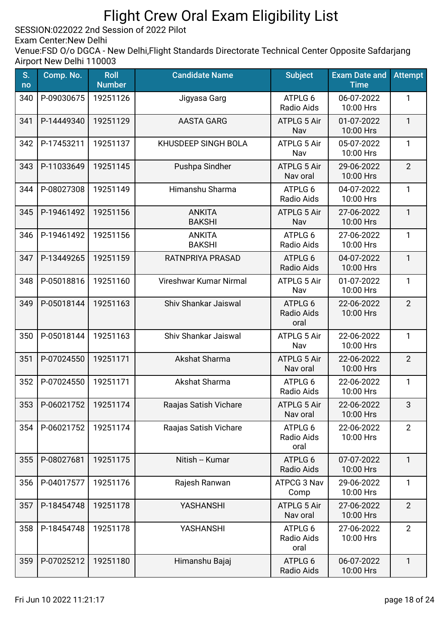SESSION:022022 2nd Session of 2022 Pilot

Exam Center:New Delhi

| S.<br>no | Comp. No.        | <b>Roll</b><br><b>Number</b> | <b>Candidate Name</b>          | <b>Subject</b>                 | <b>Exam Date and</b><br><b>Time</b> | <b>Attempt</b> |
|----------|------------------|------------------------------|--------------------------------|--------------------------------|-------------------------------------|----------------|
| 340      | P-09030675       | 19251126                     | Jigyasa Garg                   | ATPLG 6<br>Radio Aids          | 06-07-2022<br>10:00 Hrs             | 1              |
| 341      | P-14449340       | 19251129                     | <b>AASTA GARG</b>              | <b>ATPLG 5 Air</b><br>Nav      | 01-07-2022<br>10:00 Hrs             | $\mathbf{1}$   |
| 342      | P-17453211       | 19251137                     | KHUSDEEP SINGH BOLA            | ATPLG 5 Air<br>Nav             | 05-07-2022<br>10:00 Hrs             | $\mathbf{1}$   |
| 343      | P-11033649       | 19251145                     | Pushpa Sindher                 | ATPLG 5 Air<br>Nav oral        | 29-06-2022<br>10:00 Hrs             | $\overline{2}$ |
| 344      | P-08027308       | 19251149                     | Himanshu Sharma                | ATPLG 6<br>Radio Aids          | 04-07-2022<br>10:00 Hrs             | $\mathbf{1}$   |
| 345      | P-19461492       | 19251156                     | <b>ANKITA</b><br><b>BAKSHI</b> | <b>ATPLG 5 Air</b><br>Nav      | 27-06-2022<br>10:00 Hrs             | $\mathbf{1}$   |
| 346      | P-19461492       | 19251156                     | <b>ANKITA</b><br><b>BAKSHI</b> | ATPLG 6<br>Radio Aids          | 27-06-2022<br>10:00 Hrs             | 1              |
| 347      | P-13449265       | 19251159                     | RATNPRIYA PRASAD               | ATPLG 6<br>Radio Aids          | 04-07-2022<br>10:00 Hrs             | $\mathbf{1}$   |
| 348      | P-05018816       | 19251160                     | Vireshwar Kumar Nirmal         | ATPLG 5 Air<br>Nav             | 01-07-2022<br>10:00 Hrs             | $\mathbf{1}$   |
| 349      | P-05018144       | 19251163                     | Shiv Shankar Jaiswal           | ATPLG 6<br>Radio Aids<br>oral  | 22-06-2022<br>10:00 Hrs             | $\overline{2}$ |
| 350      | P-05018144       | 19251163                     | Shiv Shankar Jaiswal           | <b>ATPLG 5 Air</b><br>Nav      | 22-06-2022<br>10:00 Hrs             | $\mathbf{1}$   |
| 351      | P-07024550       | 19251171                     | Akshat Sharma                  | <b>ATPLG 5 Air</b><br>Nav oral | 22-06-2022<br>10:00 Hrs             | $\overline{2}$ |
| 352      | P-07024550       | 19251171                     | Akshat Sharma                  | ATPLG 6<br>Radio Aids          | 22-06-2022<br>10:00 Hrs             | $\mathbf{1}$   |
|          | 353   P-06021752 | 19251174                     | Raajas Satish Vichare          | <b>ATPLG 5 Air</b><br>Nav oral | 22-06-2022<br>10:00 Hrs             | З              |
| 354      | P-06021752       | 19251174                     | Raajas Satish Vichare          | ATPLG 6<br>Radio Aids<br>oral  | 22-06-2022<br>10:00 Hrs             | $\overline{2}$ |
| 355      | P-08027681       | 19251175                     | Nitish -- Kumar                | ATPLG 6<br>Radio Aids          | 07-07-2022<br>10:00 Hrs             | $\mathbf{1}$   |
| 356      | P-04017577       | 19251176                     | Rajesh Ranwan                  | ATPCG 3 Nav<br>Comp            | 29-06-2022<br>10:00 Hrs             | $\mathbf{1}$   |
| 357      | P-18454748       | 19251178                     | YASHANSHI                      | ATPLG 5 Air<br>Nav oral        | 27-06-2022<br>10:00 Hrs             | $\overline{2}$ |
| 358      | P-18454748       | 19251178                     | YASHANSHI                      | ATPLG 6<br>Radio Aids<br>oral  | 27-06-2022<br>10:00 Hrs             | $\overline{2}$ |
| 359      | P-07025212       | 19251180                     | Himanshu Bajaj                 | ATPLG 6<br>Radio Aids          | 06-07-2022<br>10:00 Hrs             | $\mathbf{1}$   |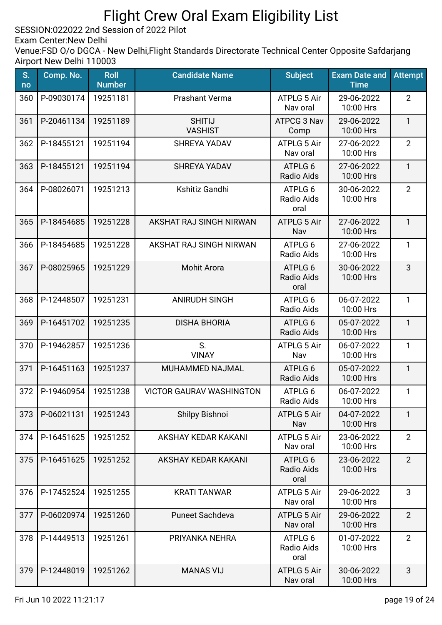SESSION:022022 2nd Session of 2022 Pilot

Exam Center:New Delhi

| S.<br>no | Comp. No.  | <b>Roll</b><br><b>Number</b> | <b>Candidate Name</b>           | <b>Subject</b>                 | <b>Exam Date and</b><br><b>Time</b> | <b>Attempt</b> |
|----------|------------|------------------------------|---------------------------------|--------------------------------|-------------------------------------|----------------|
| 360      | P-09030174 | 19251181                     | <b>Prashant Verma</b>           | <b>ATPLG 5 Air</b><br>Nav oral | 29-06-2022<br>10:00 Hrs             | $\overline{2}$ |
| 361      | P-20461134 | 19251189                     | <b>SHITIJ</b><br><b>VASHIST</b> | ATPCG 3 Nav<br>Comp            | 29-06-2022<br>10:00 Hrs             | $\mathbf{1}$   |
| 362      | P-18455121 | 19251194                     | <b>SHREYA YADAV</b>             | ATPLG 5 Air<br>Nav oral        | 27-06-2022<br>10:00 Hrs             | $\overline{2}$ |
| 363      | P-18455121 | 19251194                     | <b>SHREYA YADAV</b>             | ATPLG 6<br>Radio Aids          | 27-06-2022<br>10:00 Hrs             | $\mathbf{1}$   |
| 364      | P-08026071 | 19251213                     | Kshitiz Gandhi                  | ATPLG 6<br>Radio Aids<br>oral  | 30-06-2022<br>10:00 Hrs             | $\overline{2}$ |
| 365      | P-18454685 | 19251228                     | AKSHAT RAJ SINGH NIRWAN         | ATPLG 5 Air<br>Nav             | 27-06-2022<br>10:00 Hrs             | $\mathbf{1}$   |
| 366      | P-18454685 | 19251228                     | AKSHAT RAJ SINGH NIRWAN         | ATPLG 6<br>Radio Aids          | 27-06-2022<br>10:00 Hrs             | $\mathbf{1}$   |
| 367      | P-08025965 | 19251229                     | <b>Mohit Arora</b>              | ATPLG 6<br>Radio Aids<br>oral  | 30-06-2022<br>10:00 Hrs             | 3              |
| 368      | P-12448507 | 19251231                     | <b>ANIRUDH SINGH</b>            | ATPLG 6<br>Radio Aids          | 06-07-2022<br>10:00 Hrs             | $\mathbf{1}$   |
| 369      | P-16451702 | 19251235                     | <b>DISHA BHORIA</b>             | ATPLG 6<br><b>Radio Aids</b>   | 05-07-2022<br>10:00 Hrs             | $\mathbf{1}$   |
| 370      | P-19462857 | 19251236                     | S.<br><b>VINAY</b>              | ATPLG 5 Air<br>Nav             | 06-07-2022<br>10:00 Hrs             | 1              |
| 371      | P-16451163 | 19251237                     | MUHAMMED NAJMAL                 | ATPLG 6<br>Radio Aids          | 05-07-2022<br>10:00 Hrs             | $\mathbf{1}$   |
| 372      | P-19460954 | 19251238                     | <b>VICTOR GAURAV WASHINGTON</b> | ATPLG 6<br>Radio Aids          | 06-07-2022<br>10:00 Hrs             | 1              |
| 373      | P-06021131 | 19251243                     | Shilpy Bishnoi                  | <b>ATPLG 5 Air</b><br>Nav      | 04-07-2022<br>10:00 Hrs             | $\mathbf{1}$   |
| 374      | P-16451625 | 19251252                     | AKSHAY KEDAR KAKANI             | <b>ATPLG 5 Air</b><br>Nav oral | 23-06-2022<br>10:00 Hrs             | $\overline{2}$ |
| 375      | P-16451625 | 19251252                     | AKSHAY KEDAR KAKANI             | ATPLG 6<br>Radio Aids<br>oral  | 23-06-2022<br>10:00 Hrs             | $\overline{2}$ |
| 376      | P-17452524 | 19251255                     | <b>KRATI TANWAR</b>             | <b>ATPLG 5 Air</b><br>Nav oral | 29-06-2022<br>10:00 Hrs             | 3              |
| 377      | P-06020974 | 19251260                     | Puneet Sachdeva                 | <b>ATPLG 5 Air</b><br>Nav oral | 29-06-2022<br>10:00 Hrs             | $\overline{2}$ |
| 378      | P-14449513 | 19251261                     | PRIYANKA NEHRA                  | ATPLG 6<br>Radio Aids<br>oral  | 01-07-2022<br>10:00 Hrs             | $\overline{2}$ |
| 379      | P-12448019 | 19251262                     | <b>MANAS VIJ</b>                | <b>ATPLG 5 Air</b><br>Nav oral | 30-06-2022<br>10:00 Hrs             | 3              |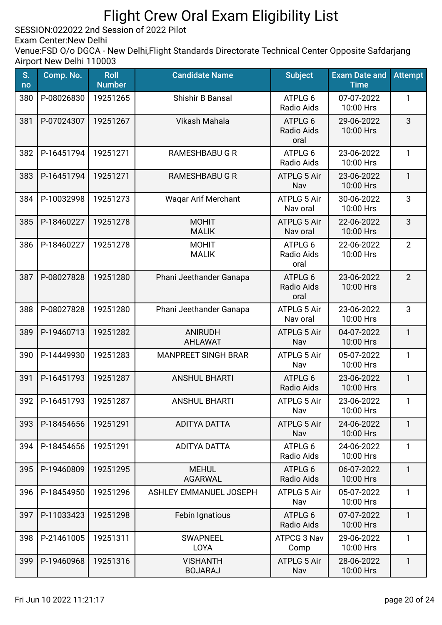SESSION:022022 2nd Session of 2022 Pilot

Exam Center:New Delhi

| S.<br>no | Comp. No.  | <b>Roll</b><br><b>Number</b> | <b>Candidate Name</b>             | <b>Subject</b>                 | <b>Exam Date and</b><br><b>Time</b> | <b>Attempt</b> |
|----------|------------|------------------------------|-----------------------------------|--------------------------------|-------------------------------------|----------------|
| 380      | P-08026830 | 19251265                     | Shishir B Bansal                  | ATPLG 6<br>Radio Aids          | 07-07-2022<br>10:00 Hrs             | 1              |
| 381      | P-07024307 | 19251267                     | Vikash Mahala                     | ATPLG 6<br>Radio Aids<br>oral  | 29-06-2022<br>10:00 Hrs             | 3              |
| 382      | P-16451794 | 19251271                     | <b>RAMESHBABU G R</b>             | ATPLG 6<br>Radio Aids          | 23-06-2022<br>10:00 Hrs             | $\mathbf{1}$   |
| 383      | P-16451794 | 19251271                     | <b>RAMESHBABU G R</b>             | <b>ATPLG 5 Air</b><br>Nav      | 23-06-2022<br>10:00 Hrs             | $\mathbf{1}$   |
| 384      | P-10032998 | 19251273                     | <b>Wagar Arif Merchant</b>        | <b>ATPLG 5 Air</b><br>Nav oral | 30-06-2022<br>10:00 Hrs             | 3              |
| 385      | P-18460227 | 19251278                     | <b>MOHIT</b><br><b>MALIK</b>      | ATPLG 5 Air<br>Nav oral        | 22-06-2022<br>10:00 Hrs             | 3              |
| 386      | P-18460227 | 19251278                     | <b>MOHIT</b><br><b>MALIK</b>      | ATPLG 6<br>Radio Aids<br>oral  | 22-06-2022<br>10:00 Hrs             | $\overline{2}$ |
| 387      | P-08027828 | 19251280                     | Phani Jeethander Ganapa           | ATPLG 6<br>Radio Aids<br>oral  | 23-06-2022<br>10:00 Hrs             | $\overline{2}$ |
| 388      | P-08027828 | 19251280                     | Phani Jeethander Ganapa           | <b>ATPLG 5 Air</b><br>Nav oral | 23-06-2022<br>10:00 Hrs             | 3              |
| 389      | P-19460713 | 19251282                     | <b>ANIRUDH</b><br><b>AHLAWAT</b>  | <b>ATPLG 5 Air</b><br>Nav      | 04-07-2022<br>10:00 Hrs             | $\mathbf{1}$   |
| 390      | P-14449930 | 19251283                     | <b>MANPREET SINGH BRAR</b>        | <b>ATPLG 5 Air</b><br>Nav      | 05-07-2022<br>10:00 Hrs             | 1              |
| 391      | P-16451793 | 19251287                     | <b>ANSHUL BHARTI</b>              | ATPLG 6<br>Radio Aids          | 23-06-2022<br>10:00 Hrs             | $\mathbf{1}$   |
| 392      | P-16451793 | 19251287                     | <b>ANSHUL BHARTI</b>              | ATPLG 5 Air<br>Nav             | 23-06-2022<br>10:00 Hrs             | $\mathbf{1}$   |
| 393      | P-18454656 | 19251291                     | <b>ADITYA DATTA</b>               | <b>ATPLG 5 Air</b><br>Nav      | 24-06-2022<br>10:00 Hrs             | $\mathbf{1}$   |
| 394      | P-18454656 | 19251291                     | <b>ADITYA DATTA</b>               | ATPLG 6<br>Radio Aids          | 24-06-2022<br>10:00 Hrs             | $\mathbf{1}$   |
| 395      | P-19460809 | 19251295                     | <b>MEHUL</b><br><b>AGARWAL</b>    | ATPLG 6<br>Radio Aids          | 06-07-2022<br>10:00 Hrs             | $\mathbf{1}$   |
| 396      | P-18454950 | 19251296                     | <b>ASHLEY EMMANUEL JOSEPH</b>     | <b>ATPLG 5 Air</b><br>Nav      | 05-07-2022<br>10:00 Hrs             | $\mathbf{1}$   |
| 397      | P-11033423 | 19251298                     | Febin Ignatious                   | ATPLG 6<br>Radio Aids          | 07-07-2022<br>10:00 Hrs             | 1              |
| 398      | P-21461005 | 19251311                     | <b>SWAPNEEL</b><br>LOYA           | ATPCG 3 Nav<br>Comp            | 29-06-2022<br>10:00 Hrs             | $\mathbf{1}$   |
| 399      | P-19460968 | 19251316                     | <b>VISHANTH</b><br><b>BOJARAJ</b> | <b>ATPLG 5 Air</b><br>Nav      | 28-06-2022<br>10:00 Hrs             | 1              |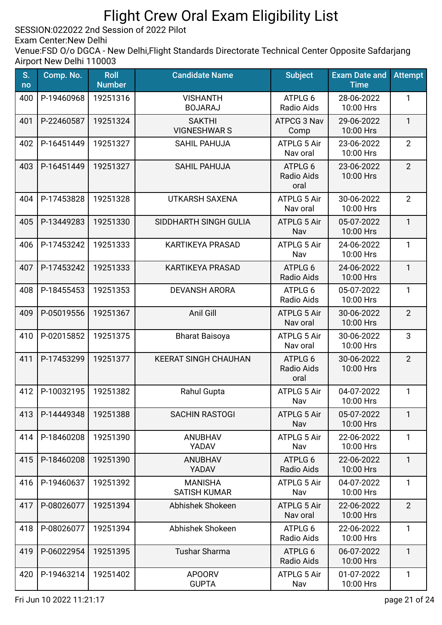SESSION:022022 2nd Session of 2022 Pilot

Exam Center:New Delhi

| S.<br>no | Comp. No.  | <b>Roll</b><br><b>Number</b> | <b>Candidate Name</b>                 | <b>Subject</b>                       | <b>Exam Date and</b><br><b>Time</b> | <b>Attempt</b> |
|----------|------------|------------------------------|---------------------------------------|--------------------------------------|-------------------------------------|----------------|
| 400      | P-19460968 | 19251316                     | <b>VISHANTH</b><br><b>BOJARAJ</b>     | ATPLG 6<br>Radio Aids                | 28-06-2022<br>10:00 Hrs             | 1              |
| 401      | P-22460587 | 19251324                     | <b>SAKTHI</b><br><b>VIGNESHWARS</b>   | ATPCG 3 Nav<br>Comp                  | 29-06-2022<br>10:00 Hrs             | 1              |
| 402      | P-16451449 | 19251327                     | <b>SAHIL PAHUJA</b>                   | ATPLG 5 Air<br>Nav oral              | 23-06-2022<br>10:00 Hrs             | $\overline{2}$ |
| 403      | P-16451449 | 19251327                     | <b>SAHIL PAHUJA</b>                   | ATPLG 6<br>Radio Aids<br>oral        | 23-06-2022<br>10:00 Hrs             | $\overline{2}$ |
| 404      | P-17453828 | 19251328                     | <b>UTKARSH SAXENA</b>                 | ATPLG 5 Air<br>Nav oral              | 30-06-2022<br>10:00 Hrs             | $\overline{2}$ |
| 405      | P-13449283 | 19251330                     | SIDDHARTH SINGH GULIA                 | <b>ATPLG 5 Air</b><br>Nav            | 05-07-2022<br>10:00 Hrs             | $\mathbf{1}$   |
| 406      | P-17453242 | 19251333                     | <b>KARTIKEYA PRASAD</b>               | <b>ATPLG 5 Air</b><br>Nav            | 24-06-2022<br>10:00 Hrs             | 1              |
| 407      | P-17453242 | 19251333                     | <b>KARTIKEYA PRASAD</b>               | ATPLG 6<br>Radio Aids                | 24-06-2022<br>10:00 Hrs             | $\mathbf{1}$   |
| 408      | P-18455453 | 19251353                     | <b>DEVANSH ARORA</b>                  | ATPLG 6<br>Radio Aids                | 05-07-2022<br>10:00 Hrs             | $\mathbf{1}$   |
| 409      | P-05019556 | 19251367                     | Anil Gill                             | <b>ATPLG 5 Air</b><br>Nav oral       | 30-06-2022<br>10:00 Hrs             | $\overline{2}$ |
| 410      | P-02015852 | 19251375                     | <b>Bharat Baisoya</b>                 | ATPLG 5 Air<br>Nav oral              | 30-06-2022<br>10:00 Hrs             | 3              |
| 411      | P-17453299 | 19251377                     | <b>KEERAT SINGH CHAUHAN</b>           | ATPLG 6<br><b>Radio Aids</b><br>oral | 30-06-2022<br>10:00 Hrs             | $\overline{2}$ |
| 412      | P-10032195 | 19251382                     | Rahul Gupta                           | <b>ATPLG 5 Air</b><br>Nav            | 04-07-2022<br>10:00 Hrs             | 1              |
| 413      | P-14449348 | 19251388                     | <b>SACHIN RASTOGI</b>                 | <b>ATPLG 5 Air</b><br>Nav            | 05-07-2022<br>10:00 Hrs             | $\mathbf{1}$   |
| 414      | P-18460208 | 19251390                     | <b>ANUBHAV</b><br>YADAV               | <b>ATPLG 5 Air</b><br>Nav            | 22-06-2022<br>10:00 Hrs             | 1              |
| 415      | P-18460208 | 19251390                     | <b>ANUBHAV</b><br>YADAV               | ATPLG 6<br>Radio Aids                | 22-06-2022<br>10:00 Hrs             | $\mathbf{1}$   |
| 416      | P-19460637 | 19251392                     | <b>MANISHA</b><br><b>SATISH KUMAR</b> | <b>ATPLG 5 Air</b><br>Nav            | 04-07-2022<br>10:00 Hrs             | $\mathbf{1}$   |
| 417      | P-08026077 | 19251394                     | Abhishek Shokeen                      | <b>ATPLG 5 Air</b><br>Nav oral       | 22-06-2022<br>10:00 Hrs             | $\overline{2}$ |
| 418      | P-08026077 | 19251394                     | Abhishek Shokeen                      | ATPLG 6<br>Radio Aids                | 22-06-2022<br>10:00 Hrs             | $\mathbf{1}$   |
| 419      | P-06022954 | 19251395                     | <b>Tushar Sharma</b>                  | ATPLG 6<br>Radio Aids                | 06-07-2022<br>10:00 Hrs             | $\mathbf{1}$   |
| 420      | P-19463214 | 19251402                     | <b>APOORV</b><br><b>GUPTA</b>         | <b>ATPLG 5 Air</b><br>Nav            | 01-07-2022<br>10:00 Hrs             | 1              |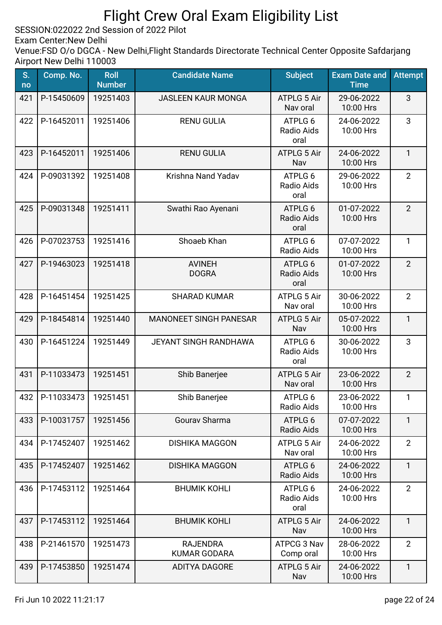SESSION:022022 2nd Session of 2022 Pilot

Exam Center:New Delhi

| S.<br>no | Comp. No.  | <b>Roll</b><br><b>Number</b> | <b>Candidate Name</b>                  | <b>Subject</b>                 | <b>Exam Date and</b><br><b>Time</b> | <b>Attempt</b> |
|----------|------------|------------------------------|----------------------------------------|--------------------------------|-------------------------------------|----------------|
| 421      | P-15450609 | 19251403                     | <b>JASLEEN KAUR MONGA</b>              | <b>ATPLG 5 Air</b><br>Nav oral | 29-06-2022<br>10:00 Hrs             | 3              |
| 422      | P-16452011 | 19251406                     | <b>RENU GULIA</b>                      | ATPLG 6<br>Radio Aids<br>oral  | 24-06-2022<br>10:00 Hrs             | 3              |
| 423      | P-16452011 | 19251406                     | <b>RENU GULIA</b>                      | <b>ATPLG 5 Air</b><br>Nav      | 24-06-2022<br>10:00 Hrs             | $\mathbf{1}$   |
| 424      | P-09031392 | 19251408                     | Krishna Nand Yadav                     | ATPLG 6<br>Radio Aids<br>oral  | 29-06-2022<br>10:00 Hrs             | $\overline{2}$ |
| 425      | P-09031348 | 19251411                     | Swathi Rao Ayenani                     | ATPLG 6<br>Radio Aids<br>oral  | 01-07-2022<br>10:00 Hrs             | $\overline{2}$ |
| 426      | P-07023753 | 19251416                     | Shoaeb Khan                            | ATPLG 6<br>Radio Aids          | 07-07-2022<br>10:00 Hrs             | 1              |
| 427      | P-19463023 | 19251418                     | <b>AVINEH</b><br><b>DOGRA</b>          | ATPLG 6<br>Radio Aids<br>oral  | 01-07-2022<br>10:00 Hrs             | $\overline{2}$ |
| 428      | P-16451454 | 19251425                     | <b>SHARAD KUMAR</b>                    | <b>ATPLG 5 Air</b><br>Nav oral | 30-06-2022<br>10:00 Hrs             | $\overline{2}$ |
| 429      | P-18454814 | 19251440                     | <b>MANONEET SINGH PANESAR</b>          | <b>ATPLG 5 Air</b><br>Nav      | 05-07-2022<br>10:00 Hrs             | $\mathbf{1}$   |
| 430      | P-16451224 | 19251449                     | JEYANT SINGH RANDHAWA                  | ATPLG 6<br>Radio Aids<br>oral  | 30-06-2022<br>10:00 Hrs             | 3              |
| 431      | P-11033473 | 19251451                     | Shib Banerjee                          | <b>ATPLG 5 Air</b><br>Nav oral | 23-06-2022<br>10:00 Hrs             | $\overline{2}$ |
| 432      | P-11033473 | 19251451                     | Shib Banerjee                          | ATPLG 6<br>Radio Aids          | 23-06-2022<br>10:00 Hrs             | 1              |
| 433      | P-10031757 | 19251456                     | Gourav Sharma                          | ATPLG 6<br>Radio Aids          | 07-07-2022<br>10:00 Hrs             | $\mathbf{1}$   |
| 434      | P-17452407 | 19251462                     | <b>DISHIKA MAGGON</b>                  | ATPLG 5 Air<br>Nav oral        | 24-06-2022<br>10:00 Hrs             | $\overline{2}$ |
| 435      | P-17452407 | 19251462                     | <b>DISHIKA MAGGON</b>                  | ATPLG 6<br>Radio Aids          | 24-06-2022<br>10:00 Hrs             | $\mathbf{1}$   |
| 436      | P-17453112 | 19251464                     | <b>BHUMIK KOHLI</b>                    | ATPLG 6<br>Radio Aids<br>oral  | 24-06-2022<br>10:00 Hrs             | $\overline{2}$ |
| 437      | P-17453112 | 19251464                     | <b>BHUMIK KOHLI</b>                    | <b>ATPLG 5 Air</b><br>Nav      | 24-06-2022<br>10:00 Hrs             | $\mathbf{1}$   |
| 438      | P-21461570 | 19251473                     | <b>RAJENDRA</b><br><b>KUMAR GODARA</b> | ATPCG 3 Nav<br>Comp oral       | 28-06-2022<br>10:00 Hrs             | $\overline{2}$ |
| 439      | P-17453850 | 19251474                     | <b>ADITYA DAGORE</b>                   | <b>ATPLG 5 Air</b><br>Nav      | 24-06-2022<br>10:00 Hrs             | $\mathbf{1}$   |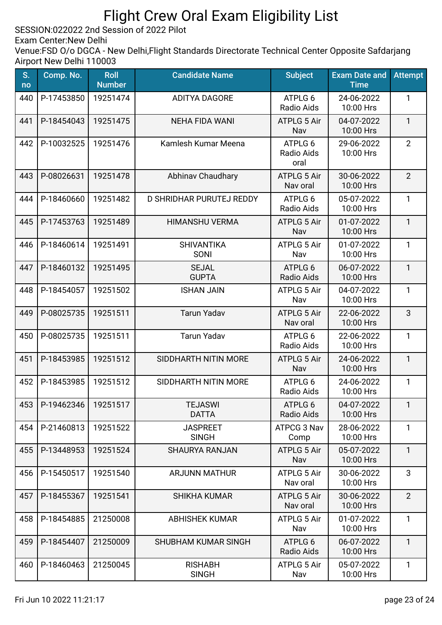SESSION:022022 2nd Session of 2022 Pilot

Exam Center:New Delhi

| S.<br>no | Comp. No.      | <b>Roll</b><br><b>Number</b> | <b>Candidate Name</b>           | <b>Subject</b>                 | <b>Exam Date and</b><br><b>Time</b> | <b>Attempt</b> |
|----------|----------------|------------------------------|---------------------------------|--------------------------------|-------------------------------------|----------------|
| 440      | P-17453850     | 19251474                     | <b>ADITYA DAGORE</b>            | ATPLG 6<br>Radio Aids          | 24-06-2022<br>10:00 Hrs             | 1              |
| 441      | P-18454043     | 19251475                     | <b>NEHA FIDA WANI</b>           | <b>ATPLG 5 Air</b><br>Nav      | 04-07-2022<br>10:00 Hrs             | $\mathbf{1}$   |
| 442      | P-10032525     | 19251476                     | Kamlesh Kumar Meena             | ATPLG 6<br>Radio Aids<br>oral  | 29-06-2022<br>10:00 Hrs             | $\overline{2}$ |
| 443      | P-08026631     | 19251478                     | <b>Abhinav Chaudhary</b>        | <b>ATPLG 5 Air</b><br>Nav oral | 30-06-2022<br>10:00 Hrs             | $\overline{2}$ |
| 444      | P-18460660     | 19251482                     | D SHRIDHAR PURUTEJ REDDY        | ATPLG 6<br>Radio Aids          | 05-07-2022<br>10:00 Hrs             | $\mathbf{1}$   |
| 445      | P-17453763     | 19251489                     | <b>HIMANSHU VERMA</b>           | <b>ATPLG 5 Air</b><br>Nav      | 01-07-2022<br>10:00 Hrs             | $\mathbf{1}$   |
| 446      | P-18460614     | 19251491                     | <b>SHIVANTIKA</b><br>SONI       | <b>ATPLG 5 Air</b><br>Nav      | 01-07-2022<br>10:00 Hrs             | 1              |
| 447      | P-18460132     | 19251495                     | <b>SEJAL</b><br><b>GUPTA</b>    | ATPLG 6<br>Radio Aids          | 06-07-2022<br>10:00 Hrs             | $\mathbf{1}$   |
| 448      | P-18454057     | 19251502                     | <b>ISHAN JAIN</b>               | ATPLG 5 Air<br>Nav             | 04-07-2022<br>10:00 Hrs             | 1              |
| 449      | P-08025735     | 19251511                     | <b>Tarun Yadav</b>              | <b>ATPLG 5 Air</b><br>Nav oral | 22-06-2022<br>10:00 Hrs             | 3              |
| 450      | P-08025735     | 19251511                     | <b>Tarun Yadav</b>              | ATPLG 6<br>Radio Aids          | 22-06-2022<br>10:00 Hrs             | $\mathbf{1}$   |
| 451      | P-18453985     | 19251512                     | SIDDHARTH NITIN MORE            | <b>ATPLG 5 Air</b><br>Nav      | 24-06-2022<br>10:00 Hrs             | $\mathbf{1}$   |
| 452      | P-18453985     | 19251512                     | SIDDHARTH NITIN MORE            | ATPLG 6<br>Radio Aids          | 24-06-2022<br>10:00 Hrs             | $\mathbf{1}$   |
|          | 453 P-19462346 | 19251517                     | <b>TEJASWI</b><br><b>DATTA</b>  | ATPLG 6<br><b>Radio Aids</b>   | 04-07-2022<br>10:00 Hrs             |                |
| 454      | P-21460813     | 19251522                     | <b>JASPREET</b><br><b>SINGH</b> | ATPCG 3 Nav<br>Comp            | 28-06-2022<br>10:00 Hrs             | $\mathbf{1}$   |
| 455      | P-13448953     | 19251524                     | <b>SHAURYA RANJAN</b>           | <b>ATPLG 5 Air</b><br>Nav      | 05-07-2022<br>10:00 Hrs             | $\mathbf{1}$   |
| 456      | P-15450517     | 19251540                     | <b>ARJUNN MATHUR</b>            | <b>ATPLG 5 Air</b><br>Nav oral | 30-06-2022<br>10:00 Hrs             | 3              |
| 457      | P-18455367     | 19251541                     | <b>SHIKHA KUMAR</b>             | <b>ATPLG 5 Air</b><br>Nav oral | 30-06-2022<br>10:00 Hrs             | $\overline{2}$ |
| 458      | P-18454885     | 21250008                     | <b>ABHISHEK KUMAR</b>           | <b>ATPLG 5 Air</b><br>Nav      | 01-07-2022<br>10:00 Hrs             | $\mathbf{1}$   |
| 459      | P-18454407     | 21250009                     | SHUBHAM KUMAR SINGH             | ATPLG 6<br>Radio Aids          | 06-07-2022<br>10:00 Hrs             | $\mathbf{1}$   |
| 460      | P-18460463     | 21250045                     | <b>RISHABH</b><br><b>SINGH</b>  | <b>ATPLG 5 Air</b><br>Nav      | 05-07-2022<br>10:00 Hrs             | $\mathbf{1}$   |